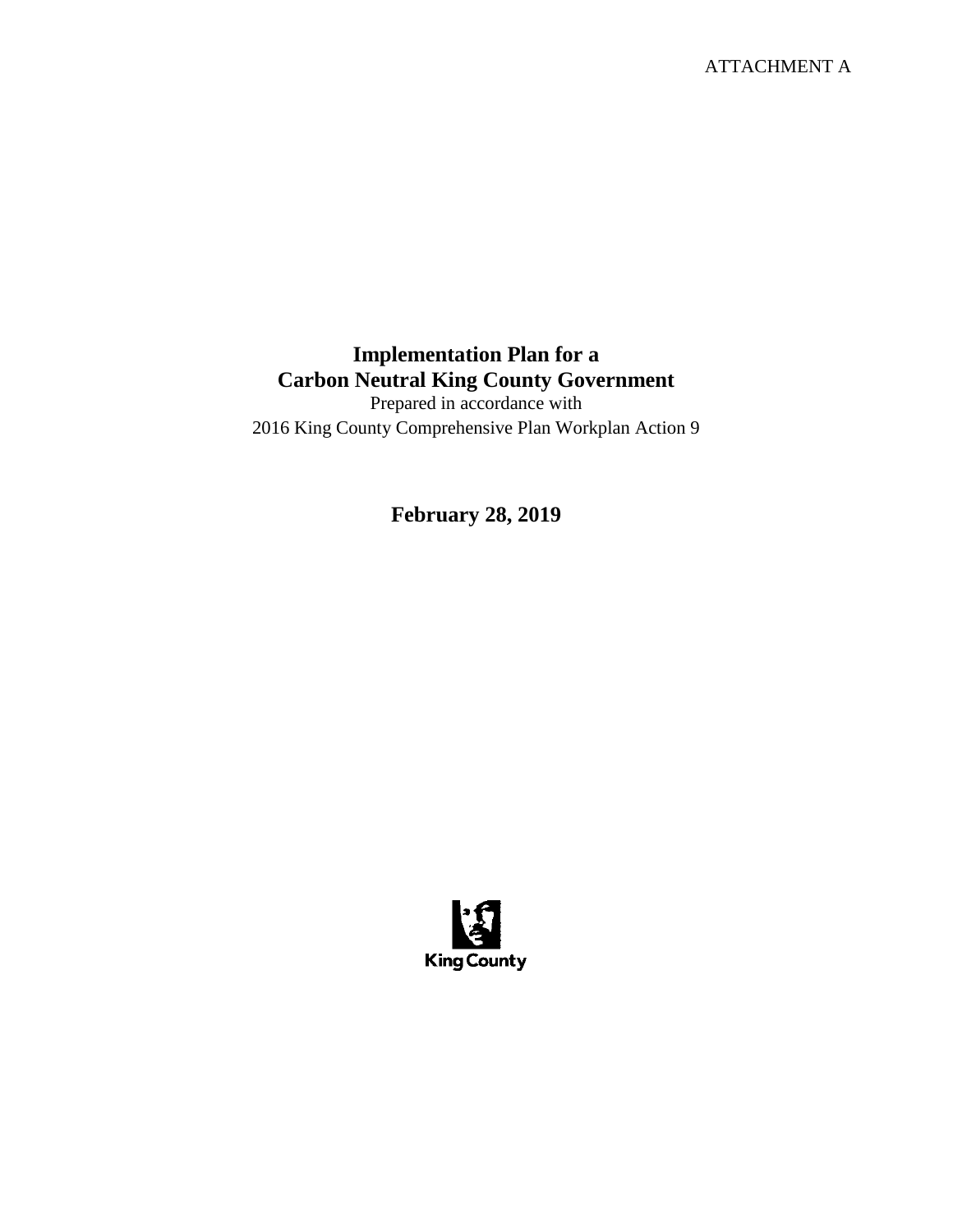ATTACHMENT A

## **Implementation Plan for a Carbon Neutral King County Government**

Prepared in accordance with 2016 King County Comprehensive Plan Workplan Action 9

**February 28, 2019**

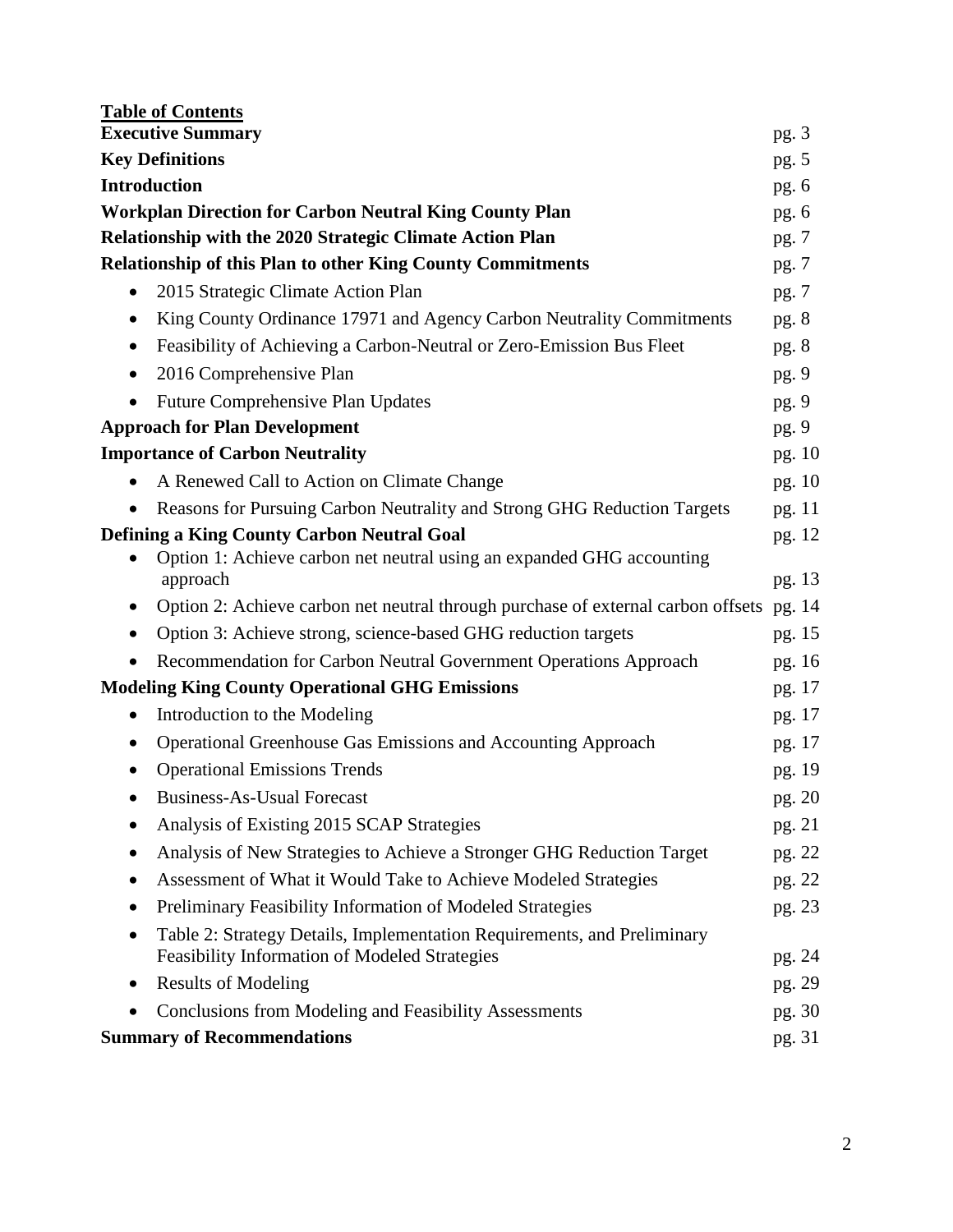| <b>Table of Contents</b><br><b>Executive Summary</b>                                         | pg.3             |
|----------------------------------------------------------------------------------------------|------------------|
| <b>Key Definitions</b>                                                                       | pg. $5$          |
| <b>Introduction</b>                                                                          | pg. $6$          |
| <b>Workplan Direction for Carbon Neutral King County Plan</b>                                | pg.6             |
| <b>Relationship with the 2020 Strategic Climate Action Plan</b>                              | pg. 7            |
| <b>Relationship of this Plan to other King County Commitments</b>                            | pg. 7            |
| 2015 Strategic Climate Action Plan<br>$\bullet$                                              | pg. 7            |
| King County Ordinance 17971 and Agency Carbon Neutrality Commitments<br>٠                    | pg.8             |
| Feasibility of Achieving a Carbon-Neutral or Zero-Emission Bus Fleet<br>$\bullet$            | pg. 8            |
| 2016 Comprehensive Plan                                                                      | pg.9             |
| <b>Future Comprehensive Plan Updates</b><br>$\bullet$                                        | pg. 9            |
| <b>Approach for Plan Development</b>                                                         | pg.9             |
| <b>Importance of Carbon Neutrality</b>                                                       | pg. 10           |
| A Renewed Call to Action on Climate Change                                                   | pg. 10           |
| Reasons for Pursuing Carbon Neutrality and Strong GHG Reduction Targets                      | pg. 11           |
| <b>Defining a King County Carbon Neutral Goal</b>                                            | pg. 12           |
| Option 1: Achieve carbon net neutral using an expanded GHG accounting                        |                  |
| approach<br>Option 2: Achieve carbon net neutral through purchase of external carbon offsets | pg. 13           |
| Option 3: Achieve strong, science-based GHG reduction targets                                | pg. 14           |
| Recommendation for Carbon Neutral Government Operations Approach                             | pg. 15           |
| <b>Modeling King County Operational GHG Emissions</b>                                        | pg. 16<br>pg. 17 |
| Introduction to the Modeling                                                                 | pg. 17           |
| Operational Greenhouse Gas Emissions and Accounting Approach                                 | pg. 17           |
| <b>Operational Emissions Trends</b>                                                          | pg. 19           |
| Business-As-Usual Forecast                                                                   | pg. 20           |
| Analysis of Existing 2015 SCAP Strategies                                                    | pg. 21           |
| Analysis of New Strategies to Achieve a Stronger GHG Reduction Target                        | pg. 22           |
| Assessment of What it Would Take to Achieve Modeled Strategies                               | pg. 22           |
| Preliminary Feasibility Information of Modeled Strategies                                    | pg. 23           |
| Table 2: Strategy Details, Implementation Requirements, and Preliminary                      |                  |
| <b>Feasibility Information of Modeled Strategies</b>                                         | pg. 24           |
| <b>Results of Modeling</b><br>٠                                                              | pg. 29           |
| <b>Conclusions from Modeling and Feasibility Assessments</b>                                 | pg. 30           |
| <b>Summary of Recommendations</b>                                                            | pg. 31           |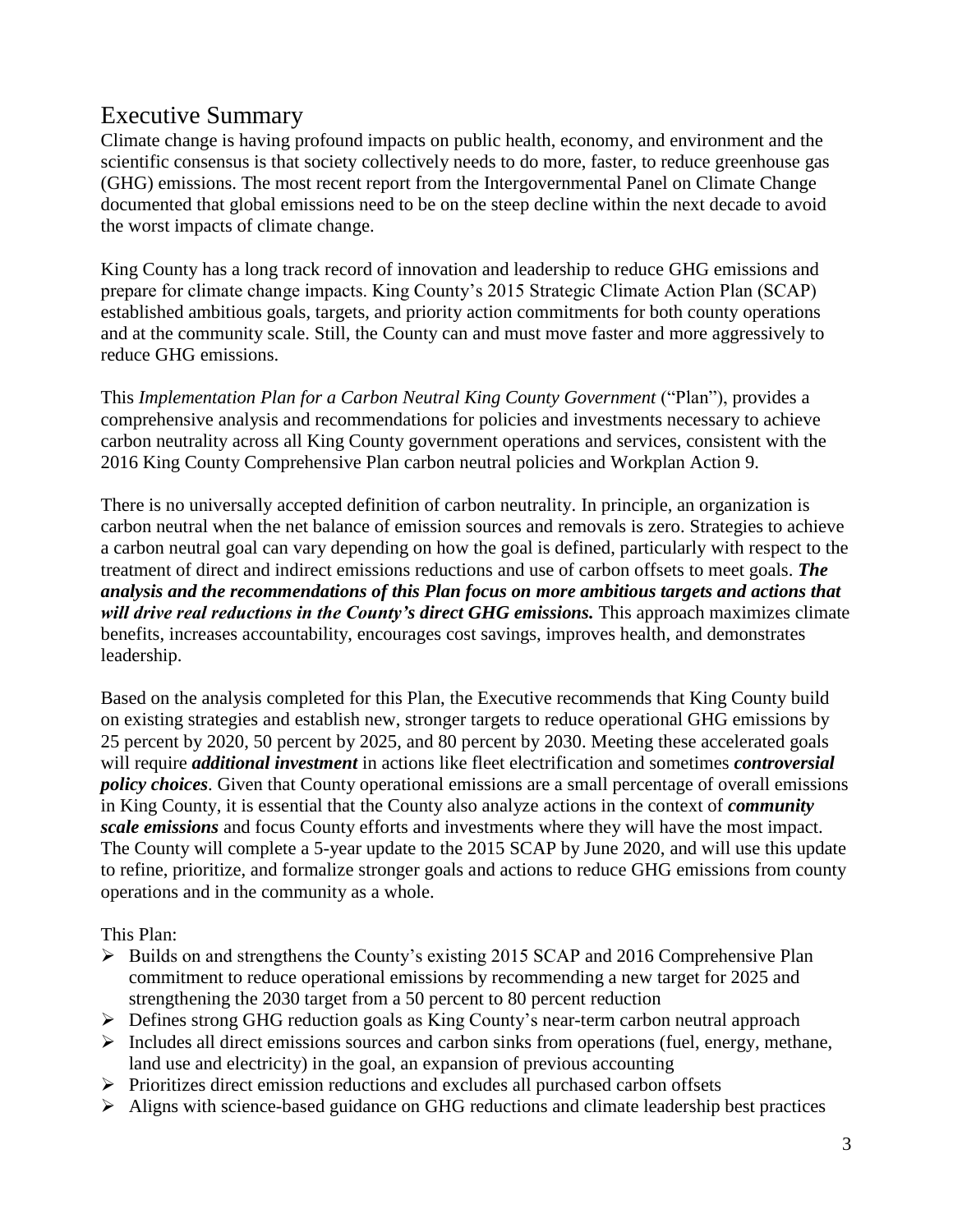# Executive Summary

Climate change is having profound impacts on public health, economy, and environment and the scientific consensus is that society collectively needs to do more, faster, to reduce greenhouse gas (GHG) emissions. The most recent report from the Intergovernmental Panel on Climate Change documented that global emissions need to be on the steep decline within the next decade to avoid the worst impacts of climate change.

King County has a long track record of innovation and leadership to reduce GHG emissions and prepare for climate change impacts. King County's 2015 Strategic Climate Action Plan (SCAP) established ambitious goals, targets, and priority action commitments for both county operations and at the community scale. Still, the County can and must move faster and more aggressively to reduce GHG emissions.

This *Implementation Plan for a Carbon Neutral King County Government* ("Plan"), provides a comprehensive analysis and recommendations for policies and investments necessary to achieve carbon neutrality across all King County government operations and services, consistent with the 2016 King County Comprehensive Plan carbon neutral policies and Workplan Action 9.

There is no universally accepted definition of carbon neutrality. In principle, an organization is carbon neutral when the net balance of emission sources and removals is zero. Strategies to achieve a carbon neutral goal can vary depending on how the goal is defined, particularly with respect to the treatment of direct and indirect emissions reductions and use of carbon offsets to meet goals. *The analysis and the recommendations of this Plan focus on more ambitious targets and actions that will drive real reductions in the County's direct GHG emissions.* This approach maximizes climate benefits, increases accountability, encourages cost savings, improves health, and demonstrates leadership.

Based on the analysis completed for this Plan, the Executive recommends that King County build on existing strategies and establish new, stronger targets to reduce operational GHG emissions by 25 percent by 2020, 50 percent by 2025, and 80 percent by 2030. Meeting these accelerated goals will require *additional investment* in actions like fleet electrification and sometimes *controversial policy choices*. Given that County operational emissions are a small percentage of overall emissions in King County, it is essential that the County also analyze actions in the context of *community scale emissions* and focus County efforts and investments where they will have the most impact. The County will complete a 5-year update to the 2015 SCAP by June 2020, and will use this update to refine, prioritize, and formalize stronger goals and actions to reduce GHG emissions from county operations and in the community as a whole.

This Plan:

- $\triangleright$  Builds on and strengthens the County's existing 2015 SCAP and 2016 Comprehensive Plan commitment to reduce operational emissions by recommending a new target for 2025 and strengthening the 2030 target from a 50 percent to 80 percent reduction
- Defines strong GHG reduction goals as King County's near-term carbon neutral approach
- $\triangleright$  Includes all direct emissions sources and carbon sinks from operations (fuel, energy, methane, land use and electricity) in the goal, an expansion of previous accounting
- $\triangleright$  Prioritizes direct emission reductions and excludes all purchased carbon offsets
- Aligns with science-based guidance on GHG reductions and climate leadership best practices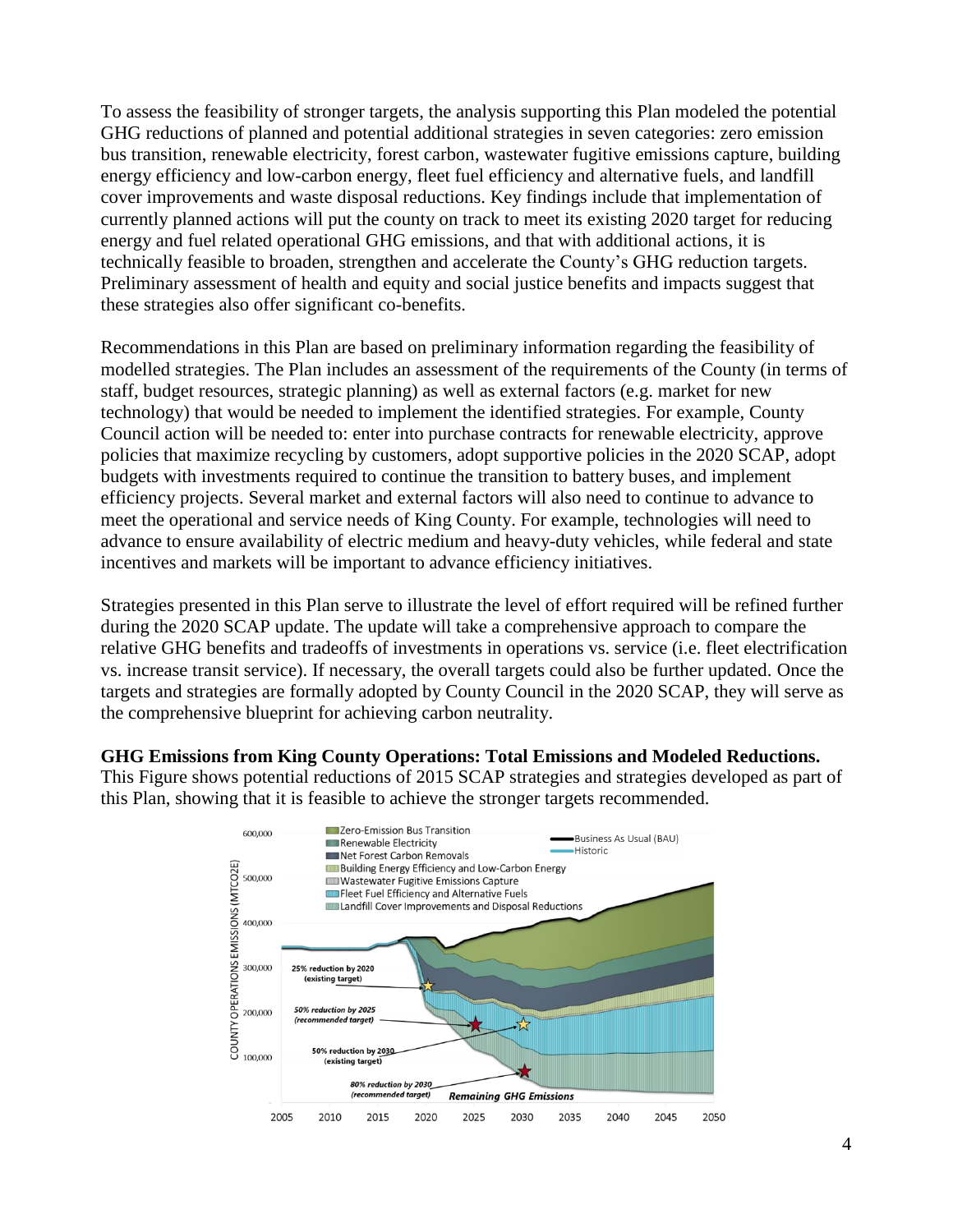To assess the feasibility of stronger targets, the analysis supporting this Plan modeled the potential GHG reductions of planned and potential additional strategies in seven categories: zero emission bus transition, renewable electricity, forest carbon, wastewater fugitive emissions capture, building energy efficiency and low-carbon energy, fleet fuel efficiency and alternative fuels, and landfill cover improvements and waste disposal reductions. Key findings include that implementation of currently planned actions will put the county on track to meet its existing 2020 target for reducing energy and fuel related operational GHG emissions, and that with additional actions, it is technically feasible to broaden, strengthen and accelerate the County's GHG reduction targets. Preliminary assessment of health and equity and social justice benefits and impacts suggest that these strategies also offer significant co-benefits.

Recommendations in this Plan are based on preliminary information regarding the feasibility of modelled strategies. The Plan includes an assessment of the requirements of the County (in terms of staff, budget resources, strategic planning) as well as external factors (e.g. market for new technology) that would be needed to implement the identified strategies. For example, County Council action will be needed to: enter into purchase contracts for renewable electricity, approve policies that maximize recycling by customers, adopt supportive policies in the 2020 SCAP, adopt budgets with investments required to continue the transition to battery buses, and implement efficiency projects. Several market and external factors will also need to continue to advance to meet the operational and service needs of King County. For example, technologies will need to advance to ensure availability of electric medium and heavy-duty vehicles, while federal and state incentives and markets will be important to advance efficiency initiatives.

Strategies presented in this Plan serve to illustrate the level of effort required will be refined further during the 2020 SCAP update. The update will take a comprehensive approach to compare the relative GHG benefits and tradeoffs of investments in operations vs. service (i.e. fleet electrification vs. increase transit service). If necessary, the overall targets could also be further updated. Once the targets and strategies are formally adopted by County Council in the 2020 SCAP, they will serve as the comprehensive blueprint for achieving carbon neutrality.

#### **GHG Emissions from King County Operations: Total Emissions and Modeled Reductions.**

This Figure shows potential reductions of 2015 SCAP strategies and strategies developed as part of this Plan, showing that it is feasible to achieve the stronger targets recommended.

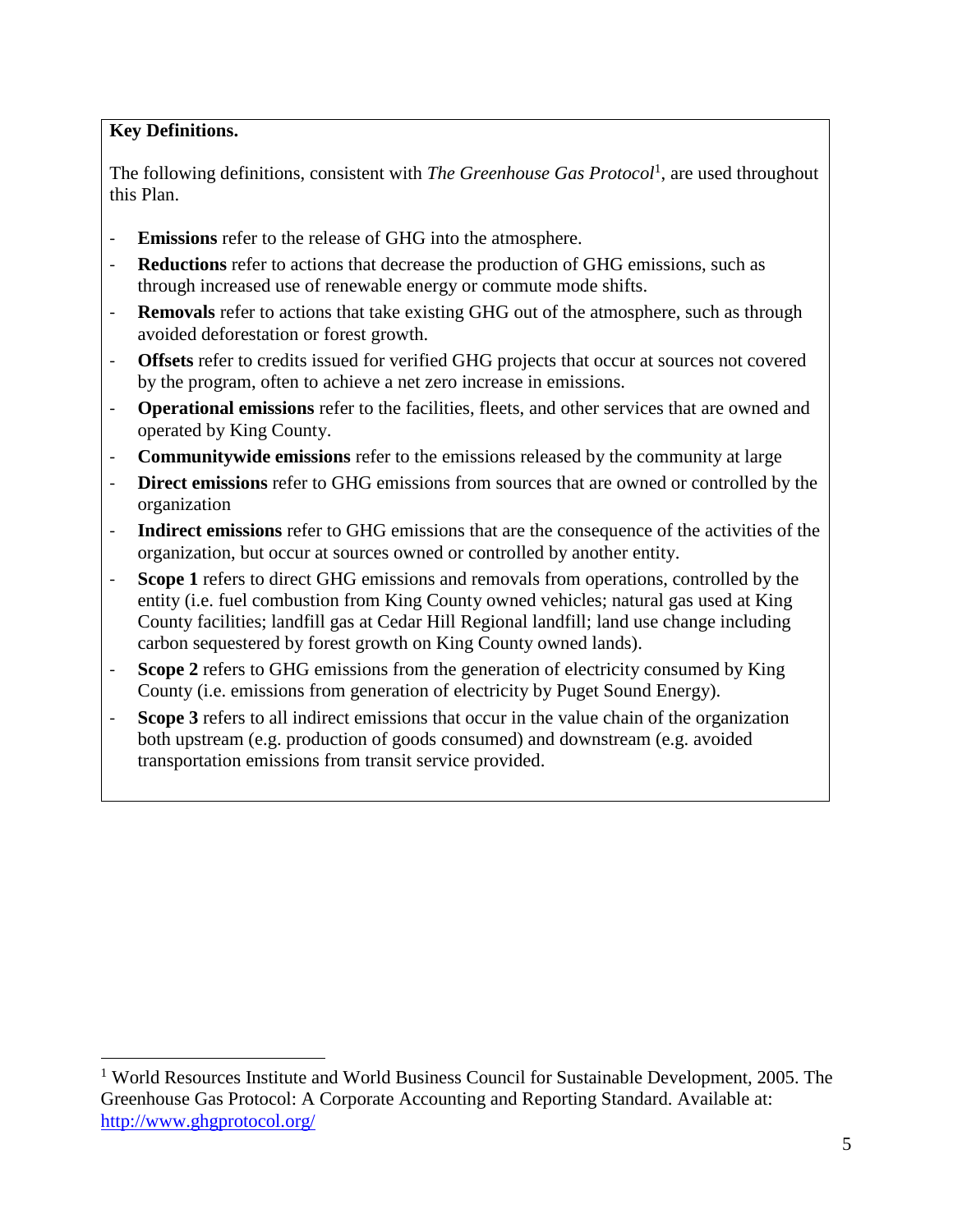#### **Key Definitions.**

 $\overline{a}$ 

The following definitions, consistent with *The Greenhouse Gas Protocol*<sup>1</sup>, are used throughout this Plan.

- Emissions refer to the release of GHG into the atmosphere.
- Reductions refer to actions that decrease the production of GHG emissions, such as through increased use of renewable energy or commute mode shifts.
- **Removals** refer to actions that take existing GHG out of the atmosphere, such as through avoided deforestation or forest growth.
- **Offsets** refer to credits issued for verified GHG projects that occur at sources not covered by the program, often to achieve a net zero increase in emissions.
- **Operational emissions** refer to the facilities, fleets, and other services that are owned and operated by King County.
- **Communitywide emissions** refer to the emissions released by the community at large
- **Direct emissions** refer to GHG emissions from sources that are owned or controlled by the organization
- **Indirect emissions** refer to GHG emissions that are the consequence of the activities of the organization, but occur at sources owned or controlled by another entity.
- **Scope 1** refers to direct GHG emissions and removals from operations, controlled by the entity (i.e. fuel combustion from King County owned vehicles; natural gas used at King County facilities; landfill gas at Cedar Hill Regional landfill; land use change including carbon sequestered by forest growth on King County owned lands).
- **Scope 2** refers to GHG emissions from the generation of electricity consumed by King County (i.e. emissions from generation of electricity by Puget Sound Energy).
- **Scope 3** refers to all indirect emissions that occur in the value chain of the organization both upstream (e.g. production of goods consumed) and downstream (e.g. avoided transportation emissions from transit service provided.

<sup>&</sup>lt;sup>1</sup> World Resources Institute and World Business Council for Sustainable Development, 2005. The Greenhouse Gas Protocol: A Corporate Accounting and Reporting Standard. Available at: <http://www.ghgprotocol.org/>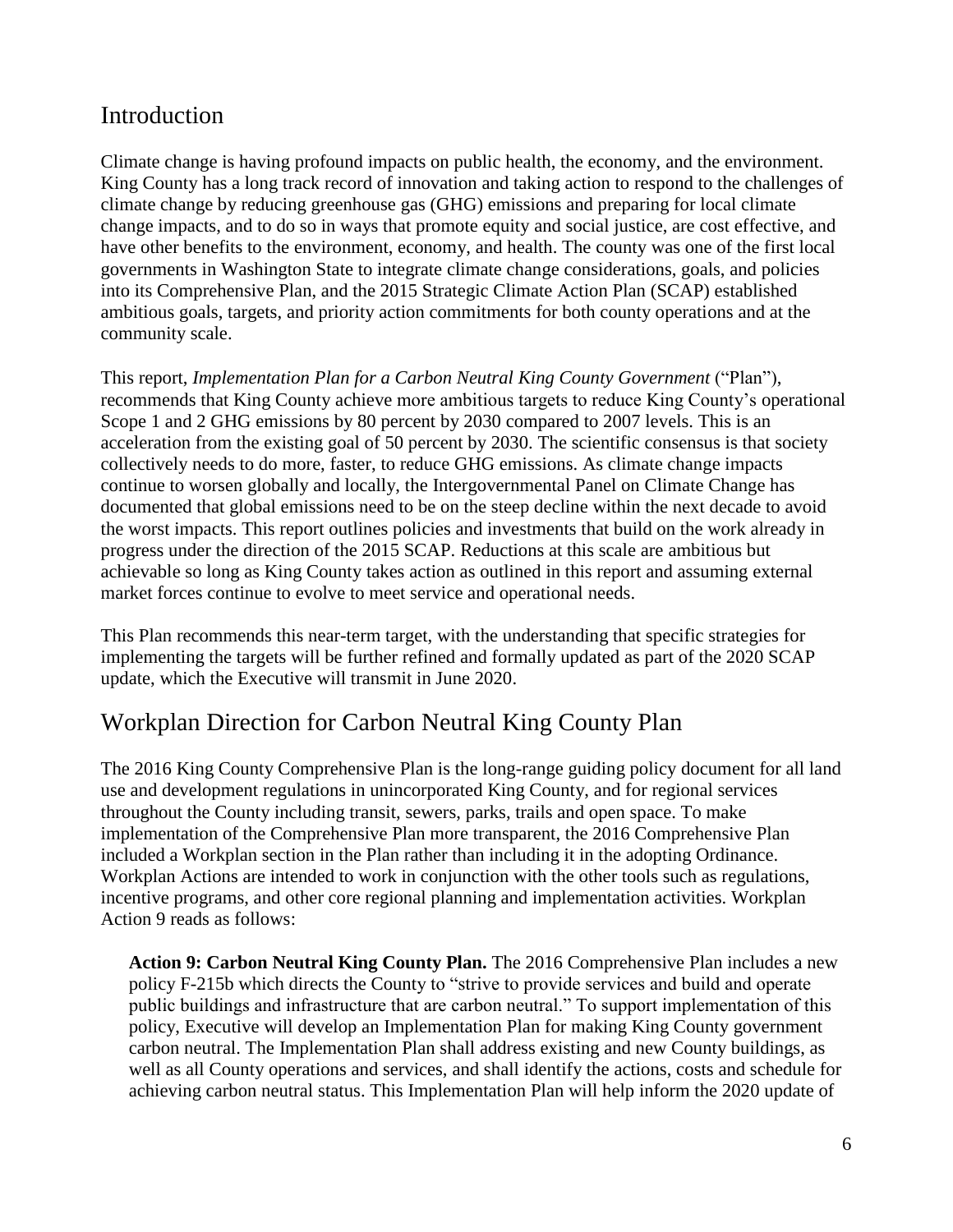# Introduction

Climate change is having profound impacts on public health, the economy, and the environment. King County has a long track record of innovation and taking action to respond to the challenges of climate change by reducing greenhouse gas (GHG) emissions and preparing for local climate change impacts, and to do so in ways that promote equity and social justice, are cost effective, and have other benefits to the environment, economy, and health. The county was one of the first local governments in Washington State to integrate climate change considerations, goals, and policies into its Comprehensive Plan, and the 2015 Strategic Climate Action Plan (SCAP) established ambitious goals, targets, and priority action commitments for both county operations and at the community scale.

This report, *Implementation Plan for a Carbon Neutral King County Government* ("Plan"), recommends that King County achieve more ambitious targets to reduce King County's operational Scope 1 and 2 GHG emissions by 80 percent by 2030 compared to 2007 levels. This is an acceleration from the existing goal of 50 percent by 2030. The scientific consensus is that society collectively needs to do more, faster, to reduce GHG emissions. As climate change impacts continue to worsen globally and locally, the Intergovernmental Panel on Climate Change has documented that global emissions need to be on the steep decline within the next decade to avoid the worst impacts. This report outlines policies and investments that build on the work already in progress under the direction of the 2015 SCAP. Reductions at this scale are ambitious but achievable so long as King County takes action as outlined in this report and assuming external market forces continue to evolve to meet service and operational needs.

This Plan recommends this near-term target, with the understanding that specific strategies for implementing the targets will be further refined and formally updated as part of the 2020 SCAP update, which the Executive will transmit in June 2020.

## Workplan Direction for Carbon Neutral King County Plan

The 2016 King County Comprehensive Plan is the long-range guiding policy document for all land use and development regulations in unincorporated King County, and for regional services throughout the County including transit, sewers, parks, trails and open space. To make implementation of the Comprehensive Plan more transparent, the 2016 Comprehensive Plan included a Workplan section in the Plan rather than including it in the adopting Ordinance. Workplan Actions are intended to work in conjunction with the other tools such as regulations, incentive programs, and other core regional planning and implementation activities. Workplan Action 9 reads as follows:

**Action 9: Carbon Neutral King County Plan.** The 2016 Comprehensive Plan includes a new policy F-215b which directs the County to "strive to provide services and build and operate public buildings and infrastructure that are carbon neutral." To support implementation of this policy, Executive will develop an Implementation Plan for making King County government carbon neutral. The Implementation Plan shall address existing and new County buildings, as well as all County operations and services, and shall identify the actions, costs and schedule for achieving carbon neutral status. This Implementation Plan will help inform the 2020 update of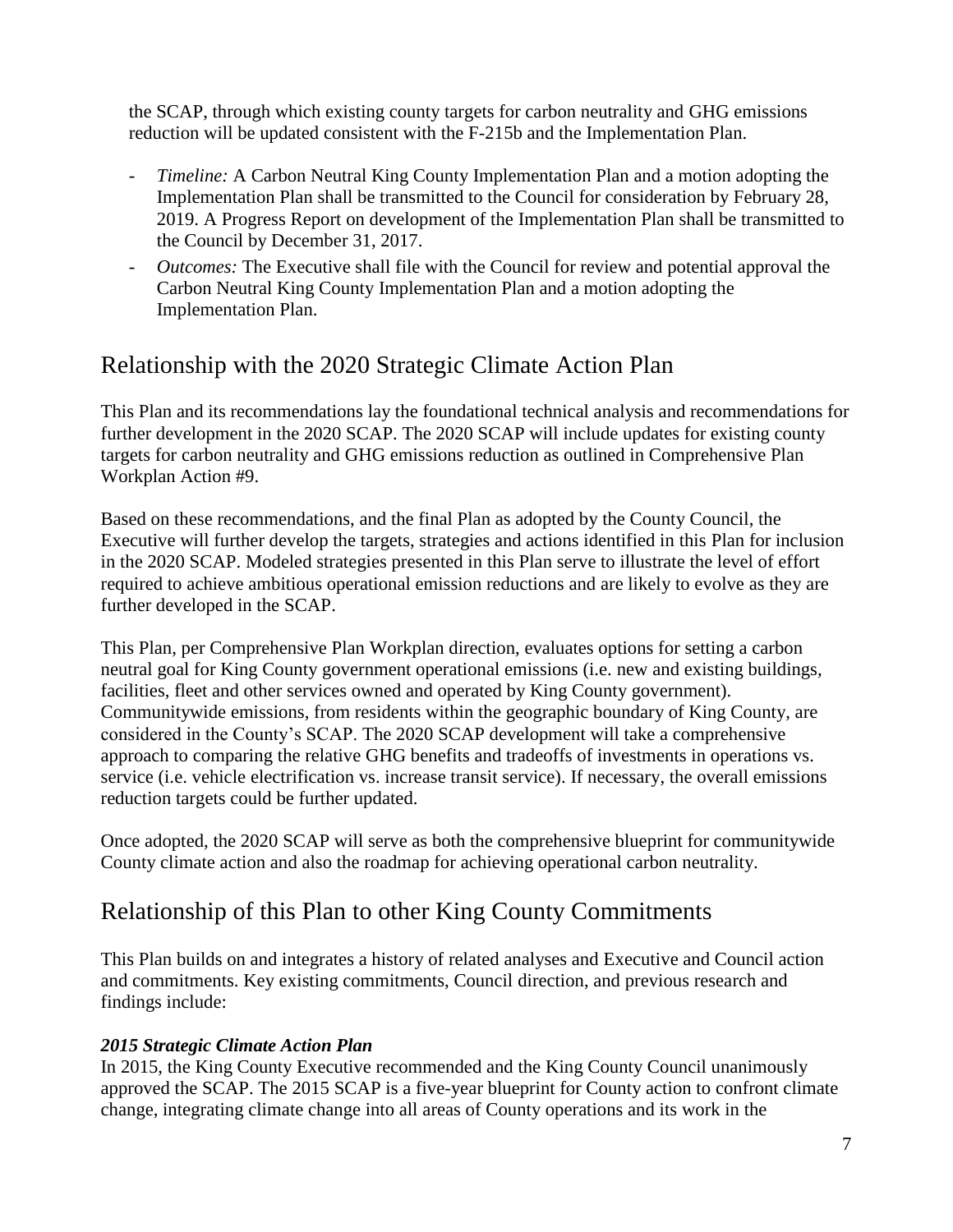the SCAP, through which existing county targets for carbon neutrality and GHG emissions reduction will be updated consistent with the F-215b and the Implementation Plan.

- *Timeline:* A Carbon Neutral King County Implementation Plan and a motion adopting the Implementation Plan shall be transmitted to the Council for consideration by February 28, 2019. A Progress Report on development of the Implementation Plan shall be transmitted to the Council by December 31, 2017.
- *Outcomes:* The Executive shall file with the Council for review and potential approval the Carbon Neutral King County Implementation Plan and a motion adopting the Implementation Plan.

# Relationship with the 2020 Strategic Climate Action Plan

This Plan and its recommendations lay the foundational technical analysis and recommendations for further development in the 2020 SCAP. The 2020 SCAP will include updates for existing county targets for carbon neutrality and GHG emissions reduction as outlined in Comprehensive Plan Workplan Action #9.

Based on these recommendations, and the final Plan as adopted by the County Council, the Executive will further develop the targets, strategies and actions identified in this Plan for inclusion in the 2020 SCAP. Modeled strategies presented in this Plan serve to illustrate the level of effort required to achieve ambitious operational emission reductions and are likely to evolve as they are further developed in the SCAP.

This Plan, per Comprehensive Plan Workplan direction, evaluates options for setting a carbon neutral goal for King County government operational emissions (i.e. new and existing buildings, facilities, fleet and other services owned and operated by King County government). Communitywide emissions, from residents within the geographic boundary of King County, are considered in the County's SCAP. The 2020 SCAP development will take a comprehensive approach to comparing the relative GHG benefits and tradeoffs of investments in operations vs. service (i.e. vehicle electrification vs. increase transit service). If necessary, the overall emissions reduction targets could be further updated.

Once adopted, the 2020 SCAP will serve as both the comprehensive blueprint for communitywide County climate action and also the roadmap for achieving operational carbon neutrality.

# Relationship of this Plan to other King County Commitments

This Plan builds on and integrates a history of related analyses and Executive and Council action and commitments. Key existing commitments, Council direction, and previous research and findings include:

#### *2015 Strategic Climate Action Plan*

In 2015, the King County Executive recommended and the King County Council unanimously approved the SCAP. The 2015 SCAP is a five-year blueprint for County action to confront climate change, integrating climate change into all areas of County operations and its work in the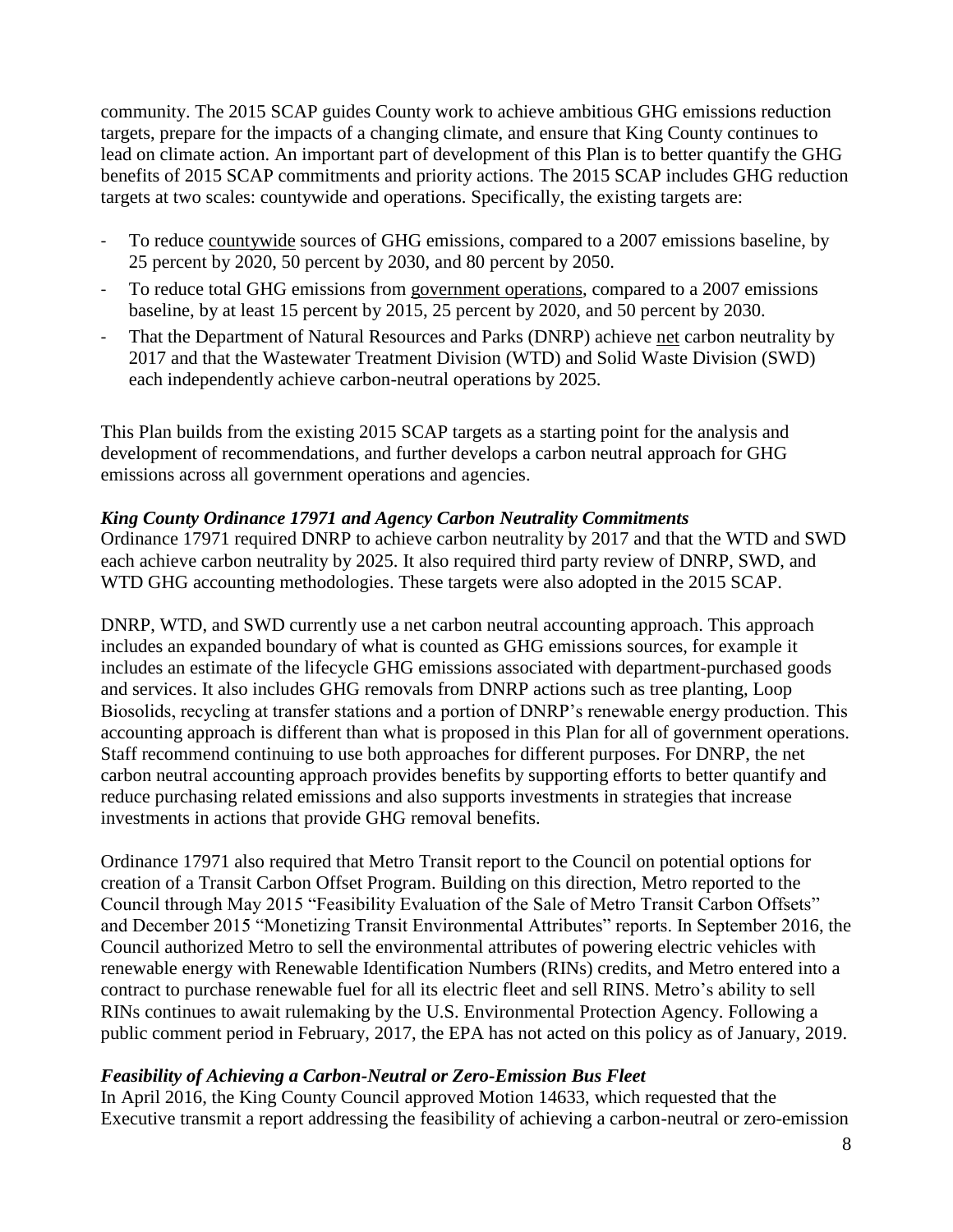community. The 2015 SCAP guides County work to achieve ambitious GHG emissions reduction targets, prepare for the impacts of a changing climate, and ensure that King County continues to lead on climate action. An important part of development of this Plan is to better quantify the GHG benefits of 2015 SCAP commitments and priority actions. The 2015 SCAP includes GHG reduction targets at two scales: countywide and operations. Specifically, the existing targets are:

- To reduce countywide sources of GHG emissions, compared to a 2007 emissions baseline, by 25 percent by 2020, 50 percent by 2030, and 80 percent by 2050.
- To reduce total GHG emissions from government operations, compared to a 2007 emissions baseline, by at least 15 percent by 2015, 25 percent by 2020, and 50 percent by 2030.
- That the Department of Natural Resources and Parks (DNRP) achieve net carbon neutrality by 2017 and that the Wastewater Treatment Division (WTD) and Solid Waste Division (SWD) each independently achieve carbon-neutral operations by 2025.

This Plan builds from the existing 2015 SCAP targets as a starting point for the analysis and development of recommendations, and further develops a carbon neutral approach for GHG emissions across all government operations and agencies.

#### *King County Ordinance 17971 and Agency Carbon Neutrality Commitments*

Ordinance 17971 required DNRP to achieve carbon neutrality by 2017 and that the WTD and SWD each achieve carbon neutrality by 2025. It also required third party review of DNRP, SWD, and WTD GHG accounting methodologies. These targets were also adopted in the 2015 SCAP.

DNRP, WTD, and SWD currently use a net carbon neutral accounting approach. This approach includes an expanded boundary of what is counted as GHG emissions sources, for example it includes an estimate of the lifecycle GHG emissions associated with department-purchased goods and services. It also includes GHG removals from DNRP actions such as tree planting, Loop Biosolids, recycling at transfer stations and a portion of DNRP's renewable energy production. This accounting approach is different than what is proposed in this Plan for all of government operations. Staff recommend continuing to use both approaches for different purposes. For DNRP, the net carbon neutral accounting approach provides benefits by supporting efforts to better quantify and reduce purchasing related emissions and also supports investments in strategies that increase investments in actions that provide GHG removal benefits.

Ordinance 17971 also required that Metro Transit report to the Council on potential options for creation of a Transit Carbon Offset Program. Building on this direction, Metro reported to the Council through May 2015 "Feasibility Evaluation of the Sale of Metro Transit Carbon Offsets" and December 2015 "Monetizing Transit Environmental Attributes" reports. In September 2016, the Council authorized Metro to sell the environmental attributes of powering electric vehicles with renewable energy with Renewable Identification Numbers (RINs) credits, and Metro entered into a contract to purchase renewable fuel for all its electric fleet and sell RINS. Metro's ability to sell RINs continues to await rulemaking by the U.S. Environmental Protection Agency. Following a public comment period in February, 2017, the EPA has not acted on this policy as of January, 2019.

#### *Feasibility of Achieving a Carbon-Neutral or Zero-Emission Bus Fleet*

In April 2016, the King County Council approved Motion 14633, which requested that the Executive transmit a report addressing the feasibility of achieving a carbon-neutral or zero-emission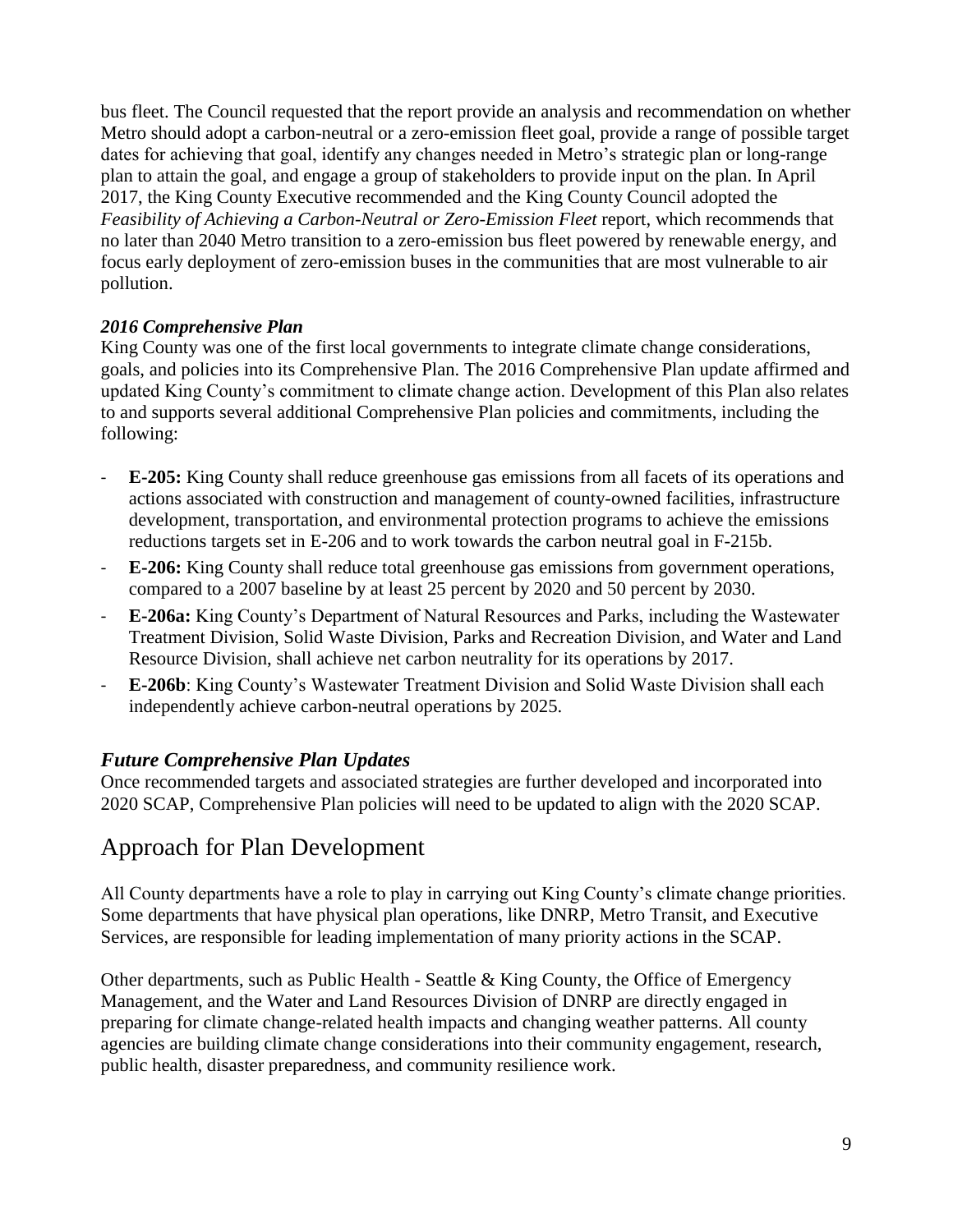bus fleet. The Council requested that the report provide an analysis and recommendation on whether Metro should adopt a carbon-neutral or a zero-emission fleet goal, provide a range of possible target dates for achieving that goal, identify any changes needed in Metro's strategic plan or long-range plan to attain the goal, and engage a group of stakeholders to provide input on the plan. In April 2017, the King County Executive recommended and the King County Council adopted the *Feasibility of Achieving a Carbon-Neutral or Zero-Emission Fleet* report, which recommends that no later than 2040 Metro transition to a zero-emission bus fleet powered by renewable energy, and focus early deployment of zero-emission buses in the communities that are most vulnerable to air pollution.

#### *2016 Comprehensive Plan*

King County was one of the first local governments to integrate climate change considerations, goals, and policies into its Comprehensive Plan. The 2016 Comprehensive Plan update affirmed and updated King County's commitment to climate change action. Development of this Plan also relates to and supports several additional Comprehensive Plan policies and commitments, including the following:

- **E-205:** King County shall reduce greenhouse gas emissions from all facets of its operations and actions associated with construction and management of county-owned facilities, infrastructure development, transportation, and environmental protection programs to achieve the emissions reductions targets set in E-206 and to work towards the carbon neutral goal in F-215b.
- **E-206:** King County shall reduce total greenhouse gas emissions from government operations, compared to a 2007 baseline by at least 25 percent by 2020 and 50 percent by 2030.
- **E-206a:** King County's Department of Natural Resources and Parks, including the Wastewater Treatment Division, Solid Waste Division, Parks and Recreation Division, and Water and Land Resource Division, shall achieve net carbon neutrality for its operations by 2017.
- **E-206b**: King County's Wastewater Treatment Division and Solid Waste Division shall each independently achieve carbon-neutral operations by 2025.

#### *Future Comprehensive Plan Updates*

Once recommended targets and associated strategies are further developed and incorporated into 2020 SCAP, Comprehensive Plan policies will need to be updated to align with the 2020 SCAP.

### Approach for Plan Development

All County departments have a role to play in carrying out King County's climate change priorities. Some departments that have physical plan operations, like DNRP, Metro Transit, and Executive Services, are responsible for leading implementation of many priority actions in the SCAP.

Other departments, such as Public Health - Seattle & King County, the Office of Emergency Management, and the Water and Land Resources Division of DNRP are directly engaged in preparing for climate change-related health impacts and changing weather patterns. All county agencies are building climate change considerations into their community engagement, research, public health, disaster preparedness, and community resilience work.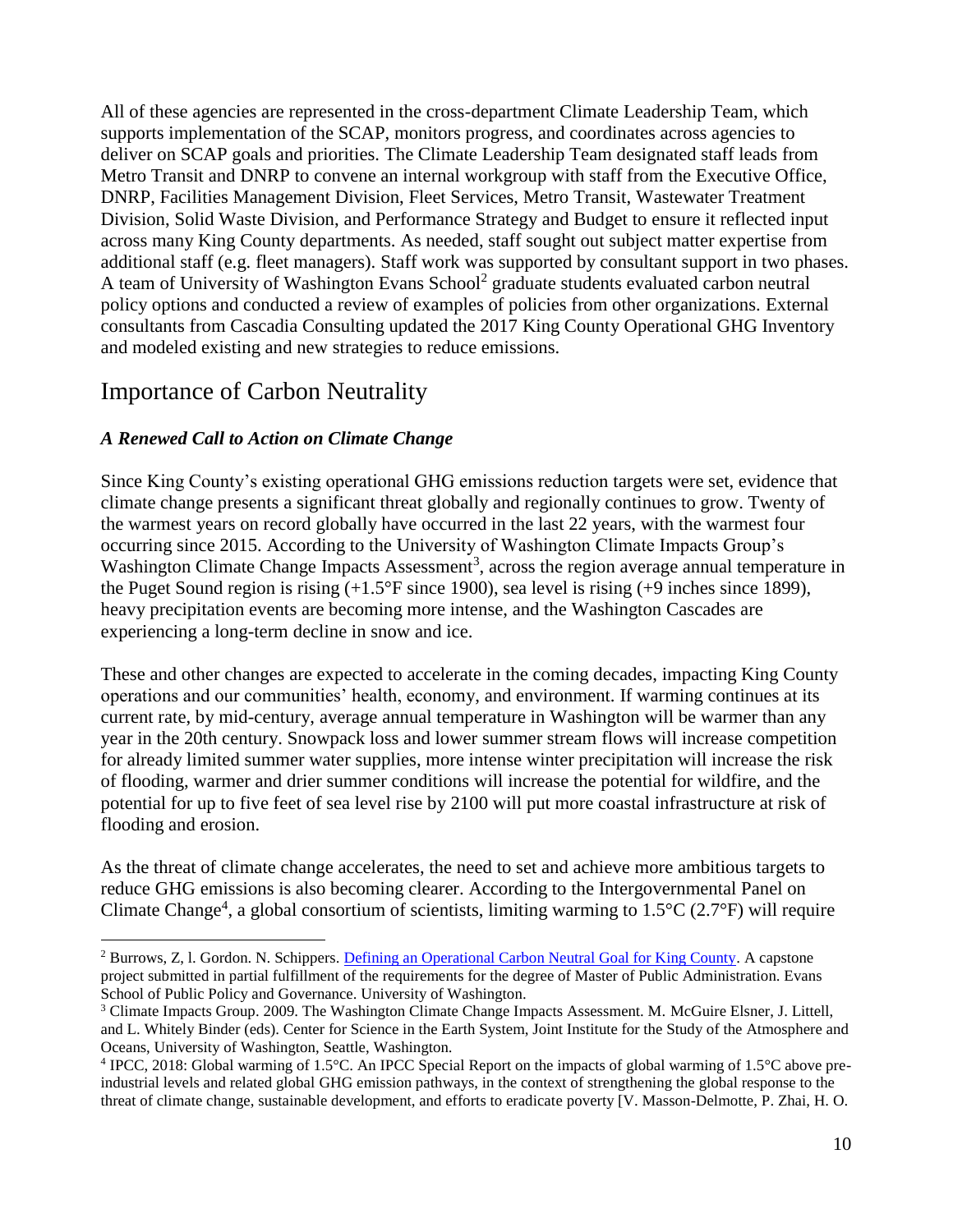All of these agencies are represented in the cross-department Climate Leadership Team, which supports implementation of the SCAP, monitors progress, and coordinates across agencies to deliver on SCAP goals and priorities. The Climate Leadership Team designated staff leads from Metro Transit and DNRP to convene an internal workgroup with staff from the Executive Office, DNRP, Facilities Management Division, Fleet Services, Metro Transit, Wastewater Treatment Division, Solid Waste Division, and Performance Strategy and Budget to ensure it reflected input across many King County departments. As needed, staff sought out subject matter expertise from additional staff (e.g. fleet managers). Staff work was supported by consultant support in two phases. A team of University of Washington Evans School<sup>2</sup> graduate students evaluated carbon neutral policy options and conducted a review of examples of policies from other organizations. External consultants from Cascadia Consulting updated the 2017 King County Operational GHG Inventory and modeled existing and new strategies to reduce emissions.

# Importance of Carbon Neutrality

 $\overline{a}$ 

#### *A Renewed Call to Action on Climate Change*

Since King County's existing operational GHG emissions reduction targets were set, evidence that climate change presents a significant threat globally and regionally continues to grow. Twenty of the warmest years on record globally have occurred in the last 22 years, with the warmest four occurring since 2015. According to the University of Washington Climate Impacts Group's Washington Climate Change Impacts Assessment<sup>3</sup>, across the region average annual temperature in the Puget Sound region is rising (+1.5°F since 1900), sea level is rising (+9 inches since 1899), heavy precipitation events are becoming more intense, and the Washington Cascades are experiencing a long-term decline in snow and ice.

These and other changes are expected to accelerate in the coming decades, impacting King County operations and our communities' health, economy, and environment. If warming continues at its current rate, by mid-century, average annual temperature in Washington will be warmer than any year in the 20th century. Snowpack loss and lower summer stream flows will increase competition for already limited summer water supplies, more intense winter precipitation will increase the risk of flooding, warmer and drier summer conditions will increase the potential for wildfire, and the potential for up to five feet of sea level rise by 2100 will put more coastal infrastructure at risk of flooding and erosion.

As the threat of climate change accelerates, the need to set and achieve more ambitious targets to reduce GHG emissions is also becoming clearer. According to the Intergovernmental Panel on Climate Change<sup>4</sup>, a global consortium of scientists, limiting warming to  $1.5^{\circ}$ C (2.7°F) will require

<sup>&</sup>lt;sup>2</sup> Burrows, Z, l. Gordon. N. Schippers. [Defining an Operational Carbon Neutral Goal for King County.](https://your.kingcounty.gov/dnrp/library/dnrp-directors-office/climate/uw-evans-carbon-neutral-capstone-2018-final.pdf) A capstone project submitted in partial fulfillment of the requirements for the degree of Master of Public Administration. Evans School of Public Policy and Governance. University of Washington.

<sup>&</sup>lt;sup>3</sup> Climate Impacts Group. 2009. The Washington Climate Change Impacts Assessment. M. McGuire Elsner, J. Littell, and L. Whitely Binder (eds). Center for Science in the Earth System, Joint Institute for the Study of the Atmosphere and Oceans, University of Washington, Seattle, Washington.

<sup>&</sup>lt;sup>4</sup> IPCC, 2018: Global warming of 1.5°C. An IPCC Special Report on the impacts of global warming of 1.5°C above preindustrial levels and related global GHG emission pathways, in the context of strengthening the global response to the threat of climate change, sustainable development, and efforts to eradicate poverty [V. Masson-Delmotte, P. Zhai, H. O.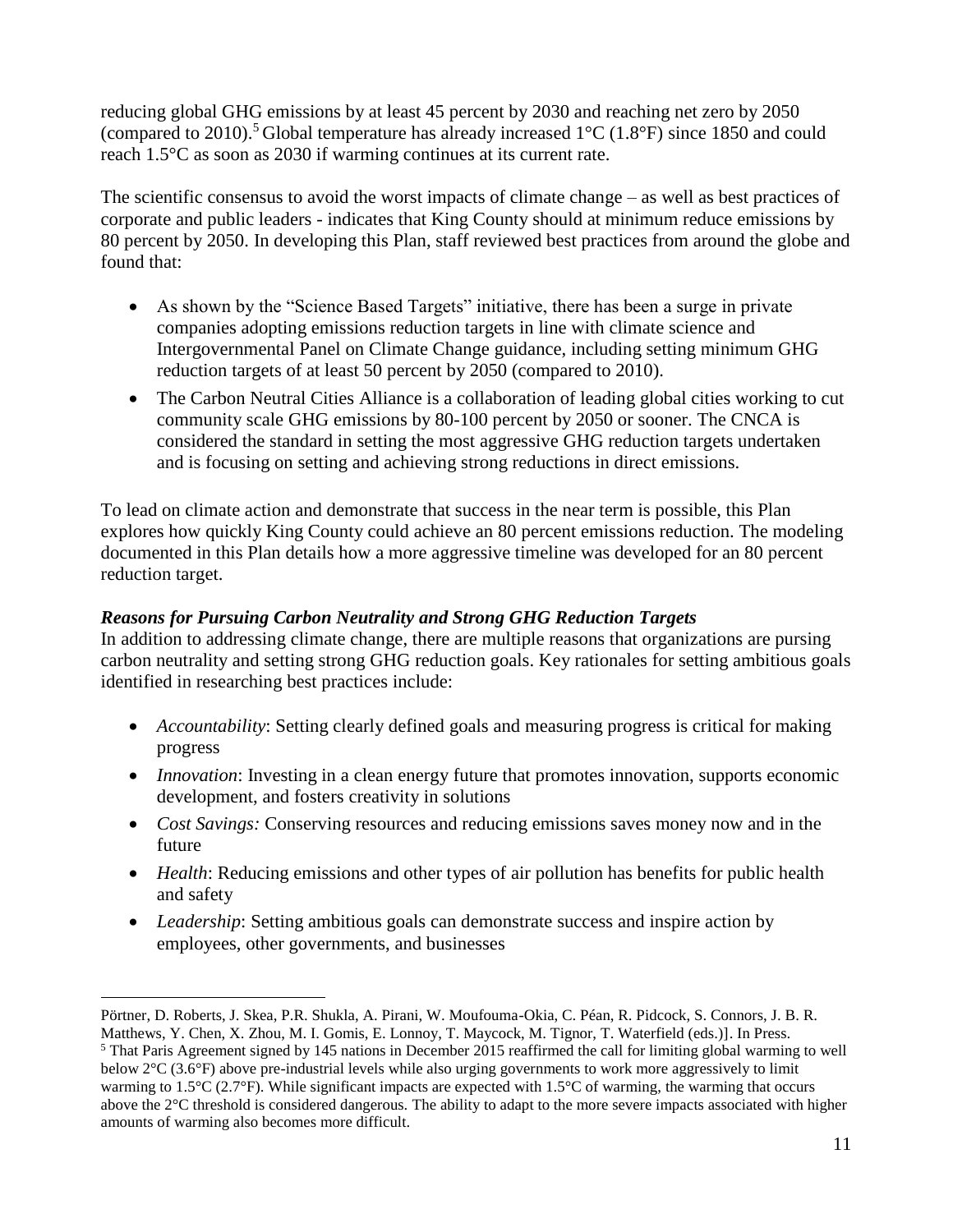reducing global GHG emissions by at least 45 percent by 2030 and reaching net zero by 2050 (compared to 2010).<sup>5</sup> Global temperature has already increased  $1^{\circ}$ C (1.8°F) since 1850 and could reach 1.5°C as soon as 2030 if warming continues at its current rate.

The scientific consensus to avoid the worst impacts of climate change – as well as best practices of corporate and public leaders - indicates that King County should at minimum reduce emissions by 80 percent by 2050. In developing this Plan, staff reviewed best practices from around the globe and found that:

- As shown by the "Science Based Targets" initiative, there has been a surge in private companies adopting emissions reduction targets in line with climate science and Intergovernmental Panel on Climate Change guidance, including setting minimum GHG reduction targets of at least 50 percent by 2050 (compared to 2010).
- The Carbon Neutral Cities Alliance is a collaboration of leading global cities working to cut community scale GHG emissions by 80-100 percent by 2050 or sooner. The CNCA is considered the standard in setting the most aggressive GHG reduction targets undertaken and is focusing on setting and achieving strong reductions in direct emissions.

To lead on climate action and demonstrate that success in the near term is possible, this Plan explores how quickly King County could achieve an 80 percent emissions reduction. The modeling documented in this Plan details how a more aggressive timeline was developed for an 80 percent reduction target.

#### *Reasons for Pursuing Carbon Neutrality and Strong GHG Reduction Targets*

In addition to addressing climate change, there are multiple reasons that organizations are pursing carbon neutrality and setting strong GHG reduction goals. Key rationales for setting ambitious goals identified in researching best practices include:

- *Accountability*: Setting clearly defined goals and measuring progress is critical for making progress
- *Innovation*: Investing in a clean energy future that promotes innovation, supports economic development, and fosters creativity in solutions
- *Cost Savings:* Conserving resources and reducing emissions saves money now and in the future
- *Health*: Reducing emissions and other types of air pollution has benefits for public health and safety
- *Leadership*: Setting ambitious goals can demonstrate success and inspire action by employees, other governments, and businesses

 $\overline{a}$ Pörtner, D. Roberts, J. Skea, P.R. Shukla, A. Pirani, W. Moufouma-Okia, C. Péan, R. Pidcock, S. Connors, J. B. R.

Matthews, Y. Chen, X. Zhou, M. I. Gomis, E. Lonnoy, T. Maycock, M. Tignor, T. Waterfield (eds.)]. In Press.  $<sup>5</sup>$  That Paris Agreement signed by 145 nations in December 2015 reaffirmed the call for limiting global warming to well</sup> below 2°C (3.6°F) above pre-industrial levels while also urging governments to work more aggressively to limit warming to 1.5°C (2.7°F). While significant impacts are expected with 1.5°C of warming, the warming that occurs above the 2°C threshold is considered dangerous. The ability to adapt to the more severe impacts associated with higher amounts of warming also becomes more difficult.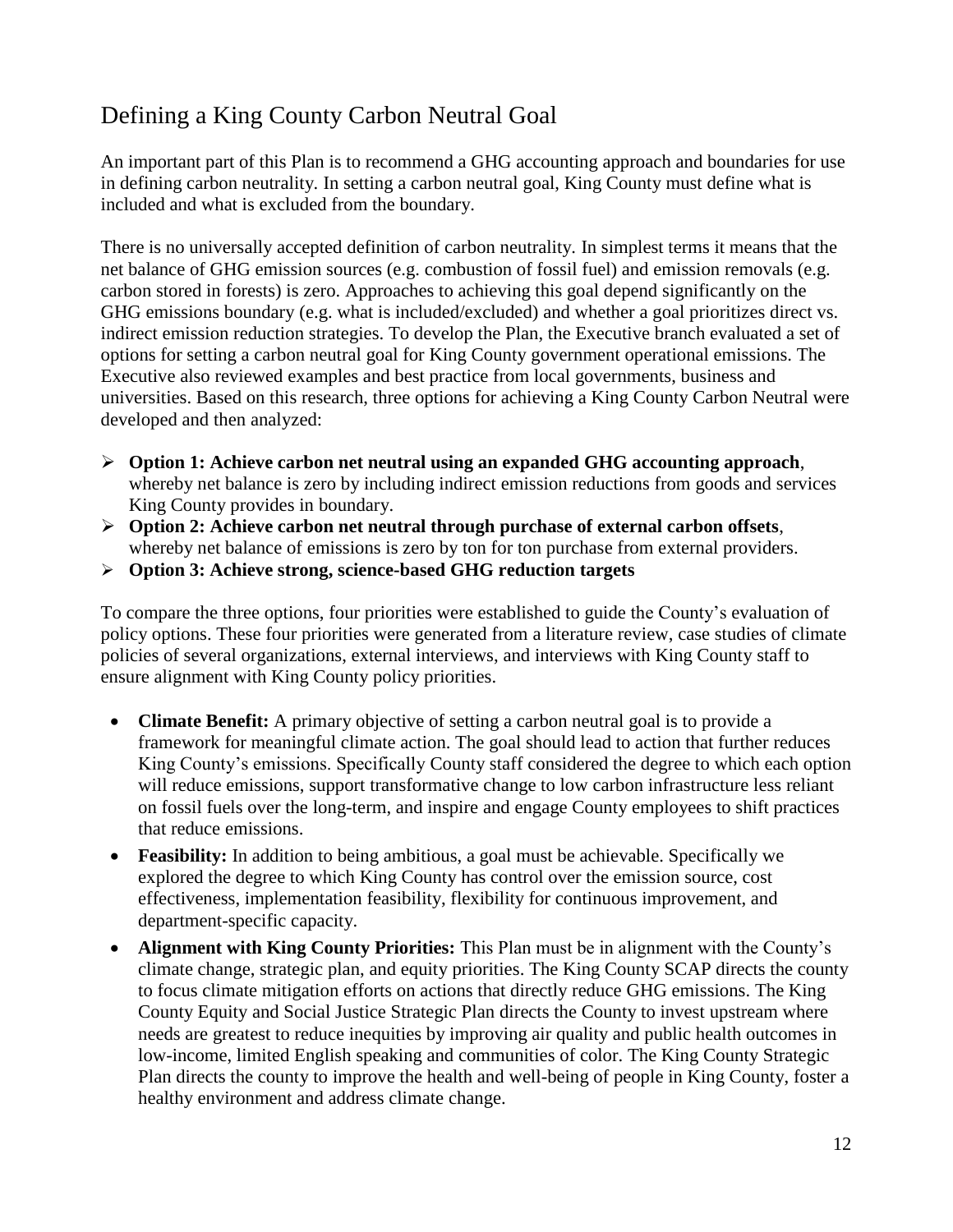# Defining a King County Carbon Neutral Goal

An important part of this Plan is to recommend a GHG accounting approach and boundaries for use in defining carbon neutrality. In setting a carbon neutral goal, King County must define what is included and what is excluded from the boundary.

There is no universally accepted definition of carbon neutrality. In simplest terms it means that the net balance of GHG emission sources (e.g. combustion of fossil fuel) and emission removals (e.g. carbon stored in forests) is zero. Approaches to achieving this goal depend significantly on the GHG emissions boundary (e.g. what is included/excluded) and whether a goal prioritizes direct vs. indirect emission reduction strategies. To develop the Plan, the Executive branch evaluated a set of options for setting a carbon neutral goal for King County government operational emissions. The Executive also reviewed examples and best practice from local governments, business and universities. Based on this research, three options for achieving a King County Carbon Neutral were developed and then analyzed:

- **Option 1: Achieve carbon net neutral using an expanded GHG accounting approach**, whereby net balance is zero by including indirect emission reductions from goods and services King County provides in boundary.
- **Option 2: Achieve carbon net neutral through purchase of external carbon offsets**, whereby net balance of emissions is zero by ton for ton purchase from external providers.
- **Option 3: Achieve strong, science-based GHG reduction targets**

To compare the three options, four priorities were established to guide the County's evaluation of policy options. These four priorities were generated from a literature review, case studies of climate policies of several organizations, external interviews, and interviews with King County staff to ensure alignment with King County policy priorities.

- **Climate Benefit:** A primary objective of setting a carbon neutral goal is to provide a framework for meaningful climate action. The goal should lead to action that further reduces King County's emissions. Specifically County staff considered the degree to which each option will reduce emissions, support transformative change to low carbon infrastructure less reliant on fossil fuels over the long-term, and inspire and engage County employees to shift practices that reduce emissions.
- **Feasibility:** In addition to being ambitious, a goal must be achievable. Specifically we explored the degree to which King County has control over the emission source, cost effectiveness, implementation feasibility, flexibility for continuous improvement, and department-specific capacity.
- **Alignment with King County Priorities:** This Plan must be in alignment with the County's climate change, strategic plan, and equity priorities. The King County SCAP directs the county to focus climate mitigation efforts on actions that directly reduce GHG emissions. The King County Equity and Social Justice Strategic Plan directs the County to invest upstream where needs are greatest to reduce inequities by improving air quality and public health outcomes in low-income, limited English speaking and communities of color. The King County Strategic Plan directs the county to improve the health and well-being of people in King County, foster a healthy environment and address climate change.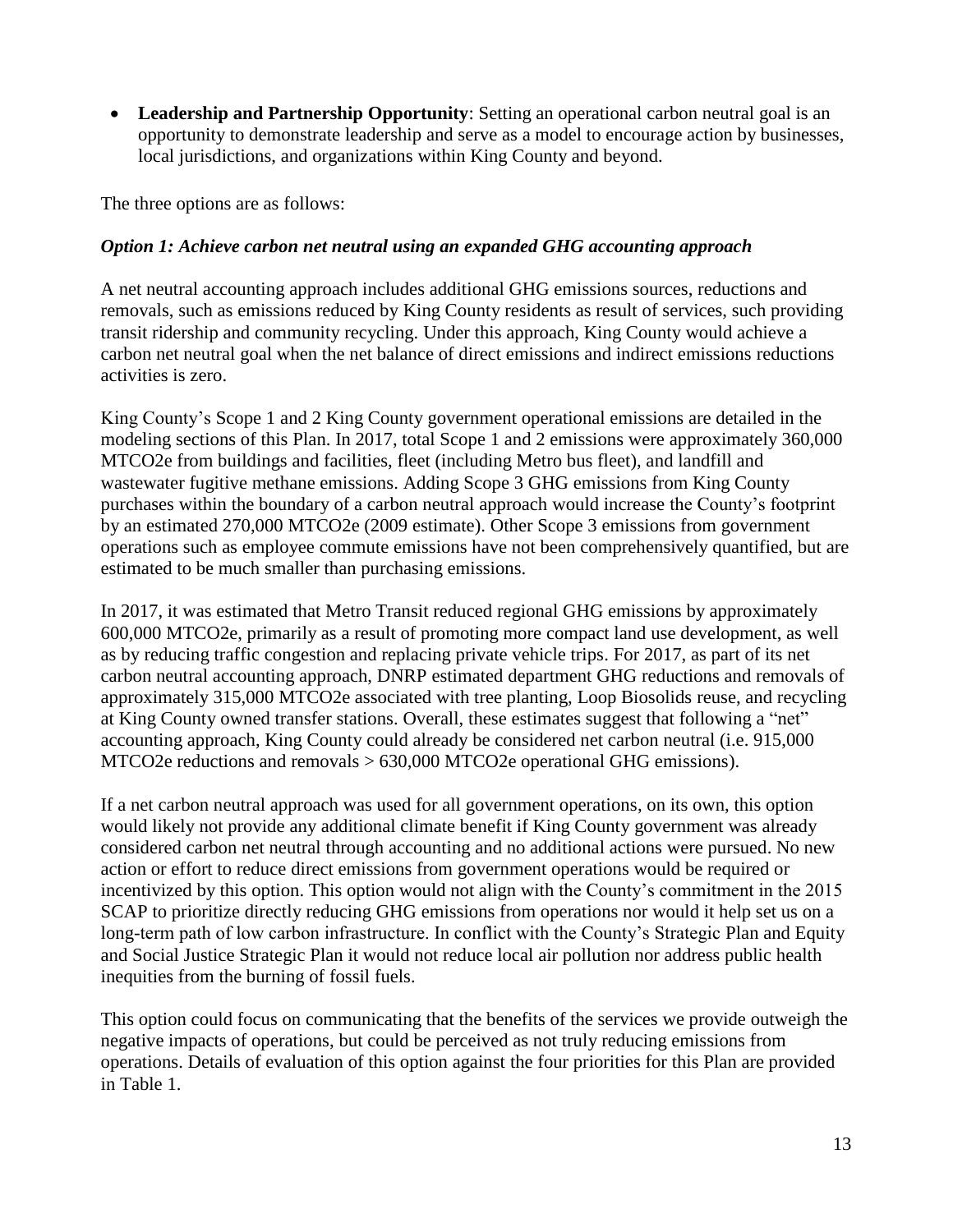**Leadership and Partnership Opportunity**: Setting an operational carbon neutral goal is an opportunity to demonstrate leadership and serve as a model to encourage action by businesses, local jurisdictions, and organizations within King County and beyond.

The three options are as follows:

#### *Option 1: Achieve carbon net neutral using an expanded GHG accounting approach*

A net neutral accounting approach includes additional GHG emissions sources, reductions and removals, such as emissions reduced by King County residents as result of services, such providing transit ridership and community recycling. Under this approach, King County would achieve a carbon net neutral goal when the net balance of direct emissions and indirect emissions reductions activities is zero.

King County's Scope 1 and 2 King County government operational emissions are detailed in the modeling sections of this Plan. In 2017, total Scope 1 and 2 emissions were approximately 360,000 MTCO2e from buildings and facilities, fleet (including Metro bus fleet), and landfill and wastewater fugitive methane emissions. Adding Scope 3 GHG emissions from King County purchases within the boundary of a carbon neutral approach would increase the County's footprint by an estimated 270,000 MTCO2e (2009 estimate). Other Scope 3 emissions from government operations such as employee commute emissions have not been comprehensively quantified, but are estimated to be much smaller than purchasing emissions.

In 2017, it was estimated that Metro Transit reduced regional GHG emissions by approximately 600,000 MTCO2e, primarily as a result of promoting more compact land use development, as well as by reducing traffic congestion and replacing private vehicle trips. For 2017, as part of its net carbon neutral accounting approach, DNRP estimated department GHG reductions and removals of approximately 315,000 MTCO2e associated with tree planting, Loop Biosolids reuse, and recycling at King County owned transfer stations. Overall, these estimates suggest that following a "net" accounting approach, King County could already be considered net carbon neutral (i.e. 915,000 MTCO2e reductions and removals > 630,000 MTCO2e operational GHG emissions).

If a net carbon neutral approach was used for all government operations, on its own, this option would likely not provide any additional climate benefit if King County government was already considered carbon net neutral through accounting and no additional actions were pursued. No new action or effort to reduce direct emissions from government operations would be required or incentivized by this option. This option would not align with the County's commitment in the 2015 SCAP to prioritize directly reducing GHG emissions from operations nor would it help set us on a long-term path of low carbon infrastructure. In conflict with the County's Strategic Plan and Equity and Social Justice Strategic Plan it would not reduce local air pollution nor address public health inequities from the burning of fossil fuels.

This option could focus on communicating that the benefits of the services we provide outweigh the negative impacts of operations, but could be perceived as not truly reducing emissions from operations. Details of evaluation of this option against the four priorities for this Plan are provided in Table 1.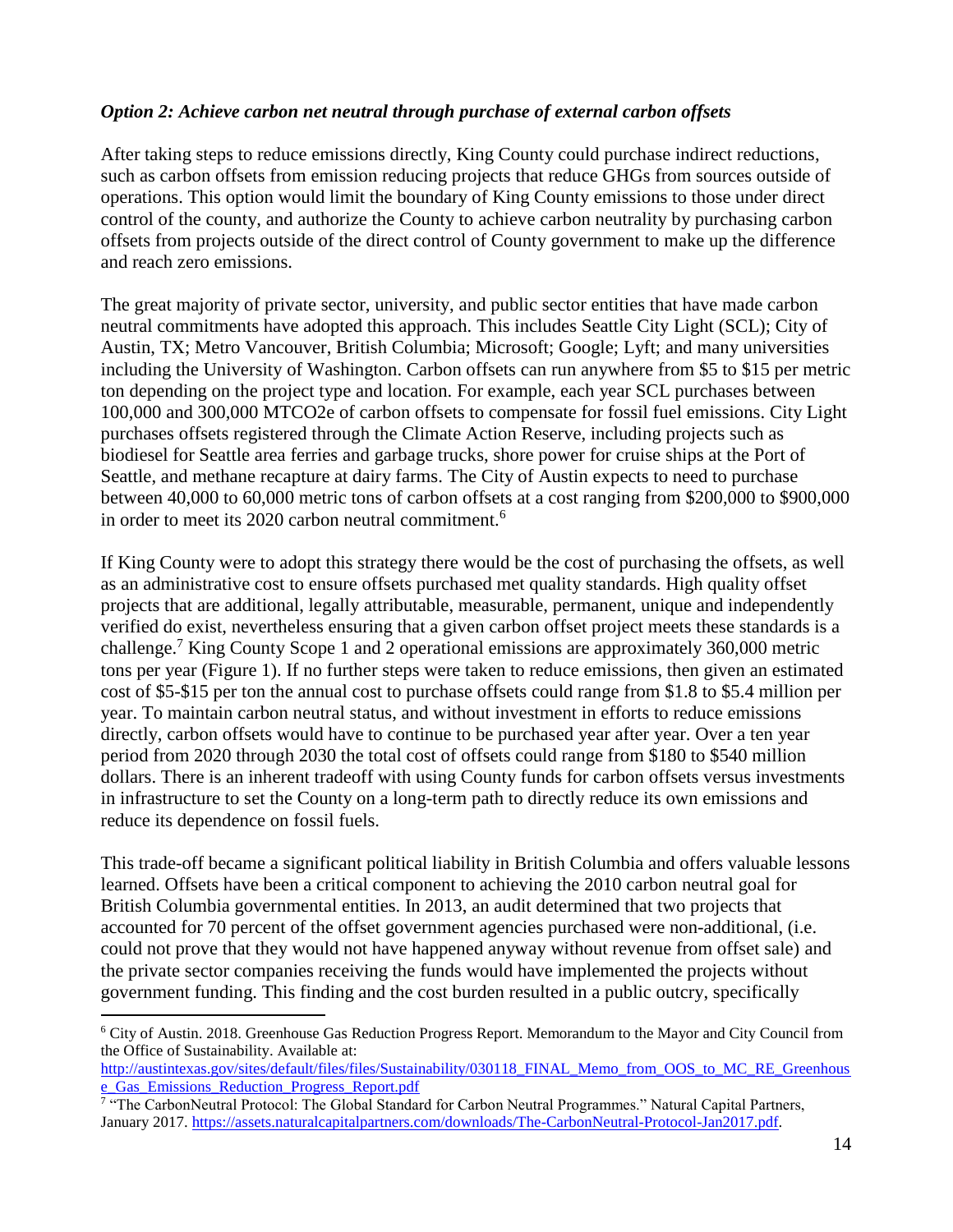#### *Option 2: Achieve carbon net neutral through purchase of external carbon offsets*

After taking steps to reduce emissions directly, King County could purchase indirect reductions, such as carbon offsets from emission reducing projects that reduce GHGs from sources outside of operations. This option would limit the boundary of King County emissions to those under direct control of the county, and authorize the County to achieve carbon neutrality by purchasing carbon offsets from projects outside of the direct control of County government to make up the difference and reach zero emissions.

The great majority of private sector, university, and public sector entities that have made carbon neutral commitments have adopted this approach. This includes Seattle City Light (SCL); City of Austin, TX; Metro Vancouver, British Columbia; Microsoft; Google; Lyft; and many universities including the University of Washington. Carbon offsets can run anywhere from \$5 to \$15 per metric ton depending on the project type and location. For example, each year SCL purchases between 100,000 and 300,000 MTCO2e of carbon offsets to compensate for fossil fuel emissions. City Light purchases offsets registered through the Climate Action Reserve, including projects such as biodiesel for Seattle area ferries and garbage trucks, shore power for cruise ships at the Port of Seattle, and methane recapture at dairy farms. The City of Austin expects to need to purchase between 40,000 to 60,000 metric tons of carbon offsets at a cost ranging from \$200,000 to \$900,000 in order to meet its 2020 carbon neutral commitment.<sup>6</sup>

If King County were to adopt this strategy there would be the cost of purchasing the offsets, as well as an administrative cost to ensure offsets purchased met quality standards. High quality offset projects that are additional, legally attributable, measurable, permanent, unique and independently verified do exist, nevertheless ensuring that a given carbon offset project meets these standards is a challenge.<sup>7</sup> King County Scope 1 and 2 operational emissions are approximately 360,000 metric tons per year (Figure 1). If no further steps were taken to reduce emissions, then given an estimated cost of \$5-\$15 per ton the annual cost to purchase offsets could range from \$1.8 to \$5.4 million per year. To maintain carbon neutral status, and without investment in efforts to reduce emissions directly, carbon offsets would have to continue to be purchased year after year. Over a ten year period from 2020 through 2030 the total cost of offsets could range from \$180 to \$540 million dollars. There is an inherent tradeoff with using County funds for carbon offsets versus investments in infrastructure to set the County on a long-term path to directly reduce its own emissions and reduce its dependence on fossil fuels.

This trade-off became a significant political liability in British Columbia and offers valuable lessons learned. Offsets have been a critical component to achieving the 2010 carbon neutral goal for British Columbia governmental entities. In 2013, an audit determined that two projects that accounted for 70 percent of the offset government agencies purchased were non-additional, (i.e. could not prove that they would not have happened anyway without revenue from offset sale) and the private sector companies receiving the funds would have implemented the projects without government funding. This finding and the cost burden resulted in a public outcry, specifically

[http://austintexas.gov/sites/default/files/files/Sustainability/030118\\_FINAL\\_Memo\\_from\\_OOS\\_to\\_MC\\_RE\\_Greenhous](http://austintexas.gov/sites/default/files/files/Sustainability/030118_FINAL_Memo_from_OOS_to_MC_RE_Greenhouse_Gas_Emissions_Reduction_Progress_Report.pdf) [e\\_Gas\\_Emissions\\_Reduction\\_Progress\\_Report.pdf](http://austintexas.gov/sites/default/files/files/Sustainability/030118_FINAL_Memo_from_OOS_to_MC_RE_Greenhouse_Gas_Emissions_Reduction_Progress_Report.pdf)

 $\overline{a}$ 

<sup>6</sup> City of Austin. 2018. Greenhouse Gas Reduction Progress Report. Memorandum to the Mayor and City Council from the Office of Sustainability. Available at:

<sup>&</sup>lt;sup>7</sup> "The CarbonNeutral Protocol: The Global Standard for Carbon Neutral Programmes." Natural Capital Partners, January 2017. [https://assets.naturalcapitalpartners.com/downloads/The-CarbonNeutral-Protocol-Jan2017.pdf.](https://assets.naturalcapitalpartners.com/downloads/The-CarbonNeutral-Protocol-Jan2017.pdf)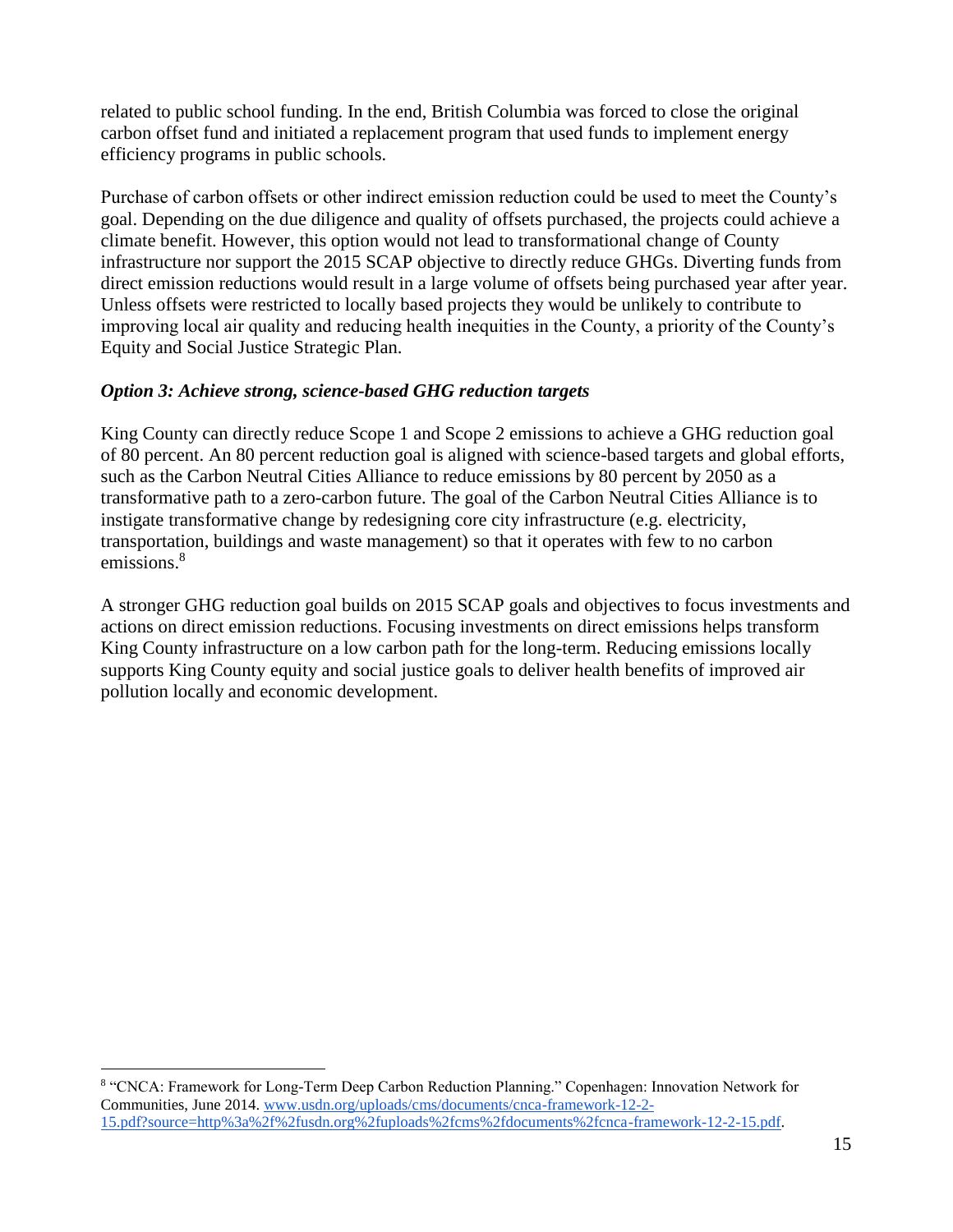related to public school funding. In the end, British Columbia was forced to close the original carbon offset fund and initiated a replacement program that used funds to implement energy efficiency programs in public schools.

Purchase of carbon offsets or other indirect emission reduction could be used to meet the County's goal. Depending on the due diligence and quality of offsets purchased, the projects could achieve a climate benefit. However, this option would not lead to transformational change of County infrastructure nor support the 2015 SCAP objective to directly reduce GHGs. Diverting funds from direct emission reductions would result in a large volume of offsets being purchased year after year. Unless offsets were restricted to locally based projects they would be unlikely to contribute to improving local air quality and reducing health inequities in the County, a priority of the County's Equity and Social Justice Strategic Plan.

#### *Option 3: Achieve strong, science-based GHG reduction targets*

King County can directly reduce Scope 1 and Scope 2 emissions to achieve a GHG reduction goal of 80 percent. An 80 percent reduction goal is aligned with science-based targets and global efforts, such as the Carbon Neutral Cities Alliance to reduce emissions by 80 percent by 2050 as a transformative path to a zero-carbon future. The goal of the Carbon Neutral Cities Alliance is to instigate transformative change by redesigning core city infrastructure (e.g. electricity, transportation, buildings and waste management) so that it operates with few to no carbon emissions. 8

A stronger GHG reduction goal builds on 2015 SCAP goals and objectives to focus investments and actions on direct emission reductions. Focusing investments on direct emissions helps transform King County infrastructure on a low carbon path for the long-term. Reducing emissions locally supports King County equity and social justice goals to deliver health benefits of improved air pollution locally and economic development.

 $\overline{a}$ 

<sup>8</sup> "CNCA: Framework for Long-Term Deep Carbon Reduction Planning." Copenhagen: Innovation Network for Communities, June 2014. [www.usdn.org/uploads/cms/documents/cnca-framework-12-2-](https://www.usdn.org/uploads/cms/documents/cnca-framework-12-2-15.pdf?source=http%3a%2f%2fusdn.org%2fuploads%2fcms%2fdocuments%2fcnca-framework-12-2-15.pdf) [15.pdf?source=http%3a%2f%2fusdn.org%2fuploads%2fcms%2fdocuments%2fcnca-framework-12-2-15.pdf.](https://www.usdn.org/uploads/cms/documents/cnca-framework-12-2-15.pdf?source=http%3a%2f%2fusdn.org%2fuploads%2fcms%2fdocuments%2fcnca-framework-12-2-15.pdf)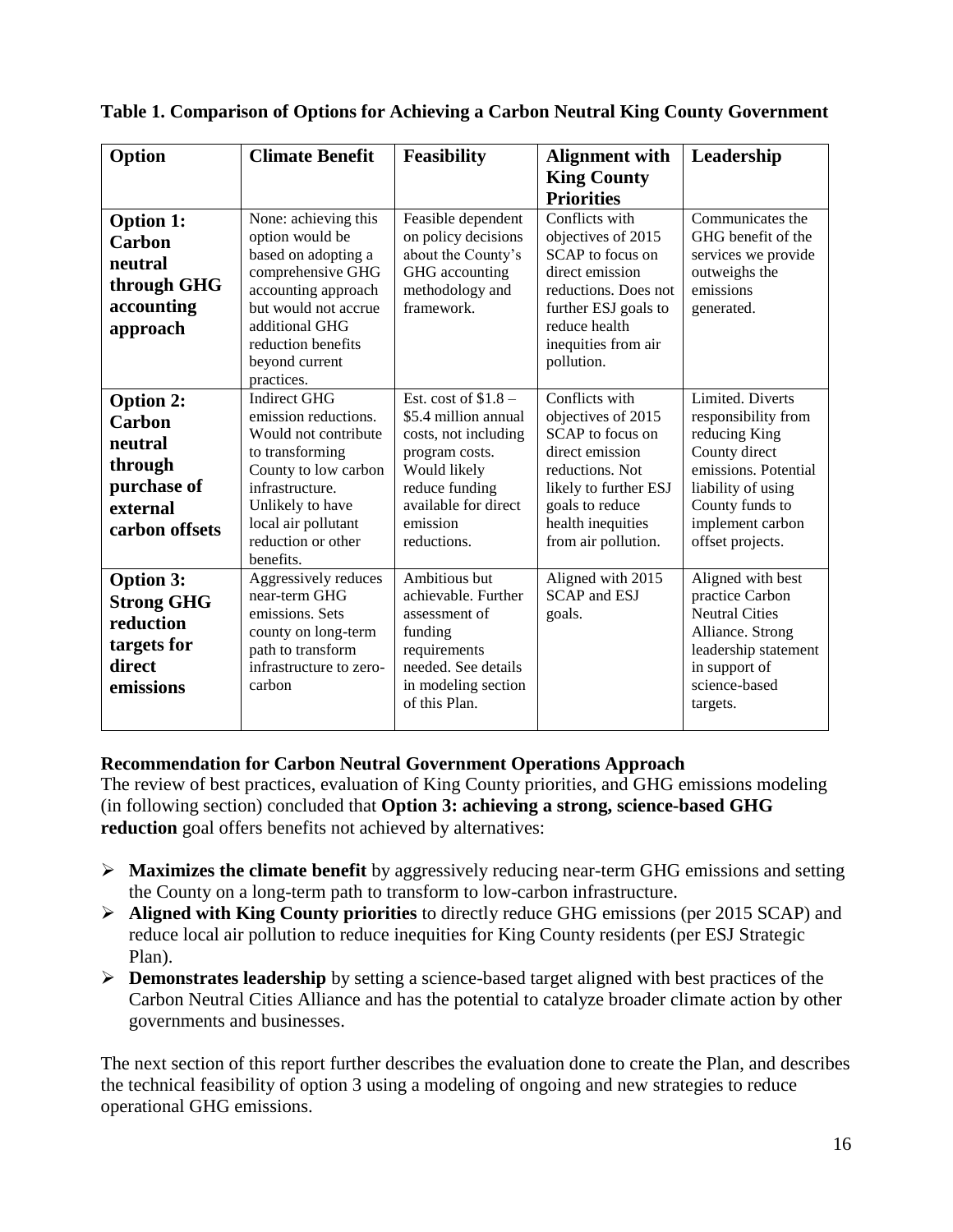| Option                                                                                        | <b>Climate Benefit</b>                                                                                                                                                                                          | <b>Feasibility</b>                                                                                                                                                          | <b>Alignment with</b>                                                                                                                                                                  | Leadership                                                                                                                                                                         |
|-----------------------------------------------------------------------------------------------|-----------------------------------------------------------------------------------------------------------------------------------------------------------------------------------------------------------------|-----------------------------------------------------------------------------------------------------------------------------------------------------------------------------|----------------------------------------------------------------------------------------------------------------------------------------------------------------------------------------|------------------------------------------------------------------------------------------------------------------------------------------------------------------------------------|
|                                                                                               |                                                                                                                                                                                                                 |                                                                                                                                                                             | <b>King County</b>                                                                                                                                                                     |                                                                                                                                                                                    |
|                                                                                               |                                                                                                                                                                                                                 |                                                                                                                                                                             | <b>Priorities</b>                                                                                                                                                                      |                                                                                                                                                                                    |
| <b>Option 1:</b><br><b>Carbon</b><br>neutral<br>through GHG<br>accounting<br>approach         | None: achieving this<br>option would be<br>based on adopting a<br>comprehensive GHG<br>accounting approach<br>but would not accrue<br>additional GHG<br>reduction benefits<br>beyond current<br>practices.      | Feasible dependent<br>on policy decisions<br>about the County's<br>GHG accounting<br>methodology and<br>framework.                                                          | Conflicts with<br>objectives of 2015<br>SCAP to focus on<br>direct emission<br>reductions. Does not<br>further ESJ goals to<br>reduce health<br>inequities from air<br>pollution.      | Communicates the<br>GHG benefit of the<br>services we provide<br>outweighs the<br>emissions<br>generated.                                                                          |
| <b>Option 2:</b><br>Carbon<br>neutral<br>through<br>purchase of<br>external<br>carbon offsets | <b>Indirect GHG</b><br>emission reductions.<br>Would not contribute<br>to transforming<br>County to low carbon<br>infrastructure.<br>Unlikely to have<br>local air pollutant<br>reduction or other<br>benefits. | Est. cost of $$1.8-$<br>\$5.4 million annual<br>costs, not including<br>program costs.<br>Would likely<br>reduce funding<br>available for direct<br>emission<br>reductions. | Conflicts with<br>objectives of 2015<br>SCAP to focus on<br>direct emission<br>reductions. Not<br>likely to further ESJ<br>goals to reduce<br>health inequities<br>from air pollution. | Limited. Diverts<br>responsibility from<br>reducing King<br>County direct<br>emissions. Potential<br>liability of using<br>County funds to<br>implement carbon<br>offset projects. |
| <b>Option 3:</b><br><b>Strong GHG</b><br>reduction<br>targets for<br>direct<br>emissions      | Aggressively reduces<br>near-term GHG<br>emissions. Sets<br>county on long-term<br>path to transform<br>infrastructure to zero-<br>carbon                                                                       | Ambitious but<br>achievable. Further<br>assessment of<br>funding<br>requirements<br>needed. See details<br>in modeling section<br>of this Plan.                             | Aligned with 2015<br><b>SCAP</b> and ESJ<br>goals.                                                                                                                                     | Aligned with best<br>practice Carbon<br><b>Neutral Cities</b><br>Alliance. Strong<br>leadership statement<br>in support of<br>science-based<br>targets.                            |

**Table 1. Comparison of Options for Achieving a Carbon Neutral King County Government**

#### **Recommendation for Carbon Neutral Government Operations Approach**

The review of best practices, evaluation of King County priorities, and GHG emissions modeling (in following section) concluded that **Option 3: achieving a strong, science-based GHG reduction** goal offers benefits not achieved by alternatives:

- **Maximizes the climate benefit** by aggressively reducing near-term GHG emissions and setting the County on a long-term path to transform to low-carbon infrastructure.
- **Aligned with King County priorities** to directly reduce GHG emissions (per 2015 SCAP) and reduce local air pollution to reduce inequities for King County residents (per ESJ Strategic Plan).
- **Demonstrates leadership** by setting a science-based target aligned with best practices of the Carbon Neutral Cities Alliance and has the potential to catalyze broader climate action by other governments and businesses.

The next section of this report further describes the evaluation done to create the Plan, and describes the technical feasibility of option 3 using a modeling of ongoing and new strategies to reduce operational GHG emissions.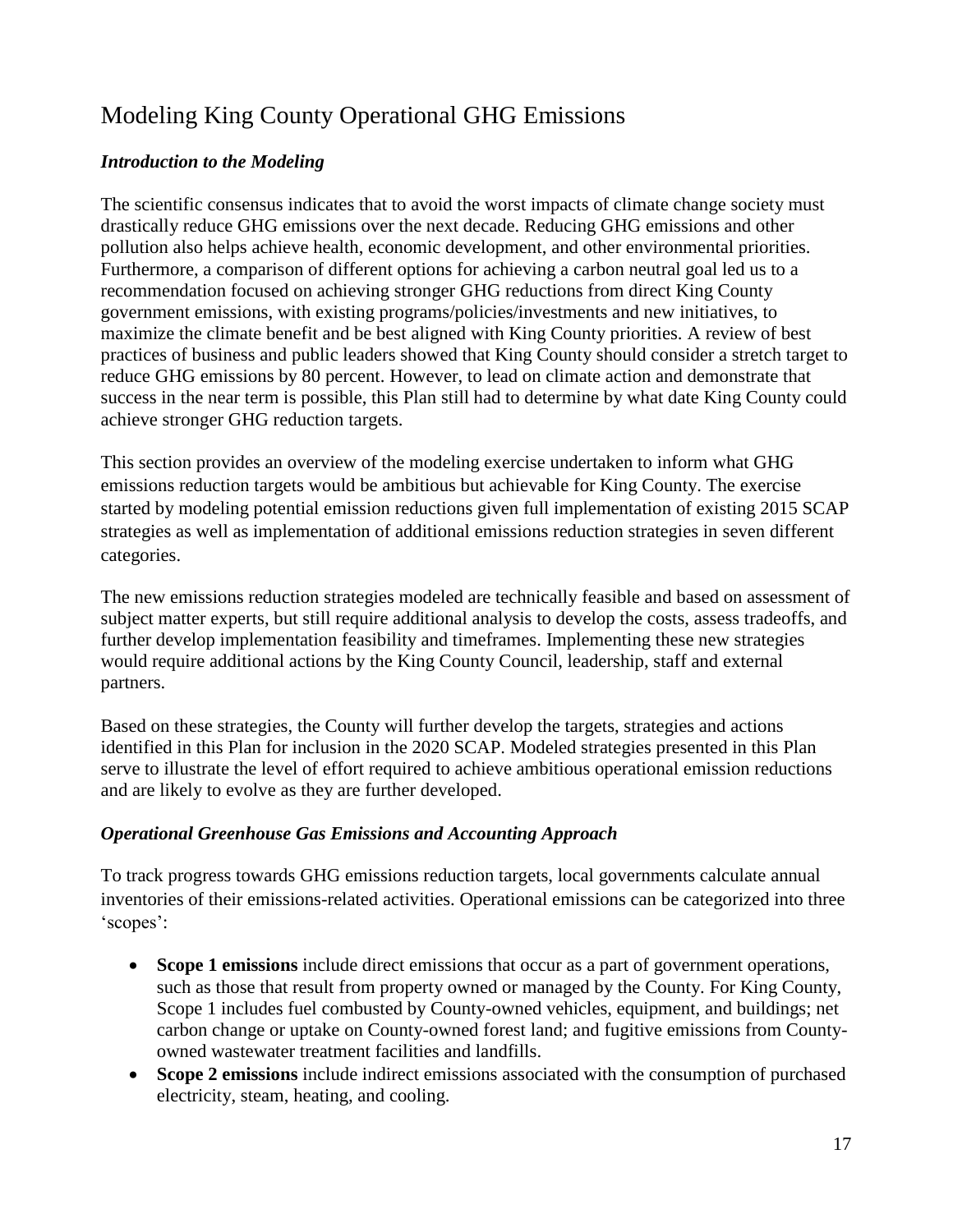# Modeling King County Operational GHG Emissions

#### *Introduction to the Modeling*

The scientific consensus indicates that to avoid the worst impacts of climate change society must drastically reduce GHG emissions over the next decade. Reducing GHG emissions and other pollution also helps achieve health, economic development, and other environmental priorities. Furthermore, a comparison of different options for achieving a carbon neutral goal led us to a recommendation focused on achieving stronger GHG reductions from direct King County government emissions, with existing programs/policies/investments and new initiatives, to maximize the climate benefit and be best aligned with King County priorities. A review of best practices of business and public leaders showed that King County should consider a stretch target to reduce GHG emissions by 80 percent. However, to lead on climate action and demonstrate that success in the near term is possible, this Plan still had to determine by what date King County could achieve stronger GHG reduction targets.

This section provides an overview of the modeling exercise undertaken to inform what GHG emissions reduction targets would be ambitious but achievable for King County. The exercise started by modeling potential emission reductions given full implementation of existing 2015 SCAP strategies as well as implementation of additional emissions reduction strategies in seven different categories.

The new emissions reduction strategies modeled are technically feasible and based on assessment of subject matter experts, but still require additional analysis to develop the costs, assess tradeoffs, and further develop implementation feasibility and timeframes. Implementing these new strategies would require additional actions by the King County Council, leadership, staff and external partners.

Based on these strategies, the County will further develop the targets, strategies and actions identified in this Plan for inclusion in the 2020 SCAP. Modeled strategies presented in this Plan serve to illustrate the level of effort required to achieve ambitious operational emission reductions and are likely to evolve as they are further developed.

#### *Operational Greenhouse Gas Emissions and Accounting Approach*

To track progress towards GHG emissions reduction targets, local governments calculate annual inventories of their emissions-related activities. Operational emissions can be categorized into three 'scopes':

- **Scope 1 emissions** include direct emissions that occur as a part of government operations, such as those that result from property owned or managed by the County. For King County, Scope 1 includes fuel combusted by County-owned vehicles, equipment, and buildings; net carbon change or uptake on County-owned forest land; and fugitive emissions from Countyowned wastewater treatment facilities and landfills.
- **Scope 2 emissions** include indirect emissions associated with the consumption of purchased electricity, steam, heating, and cooling.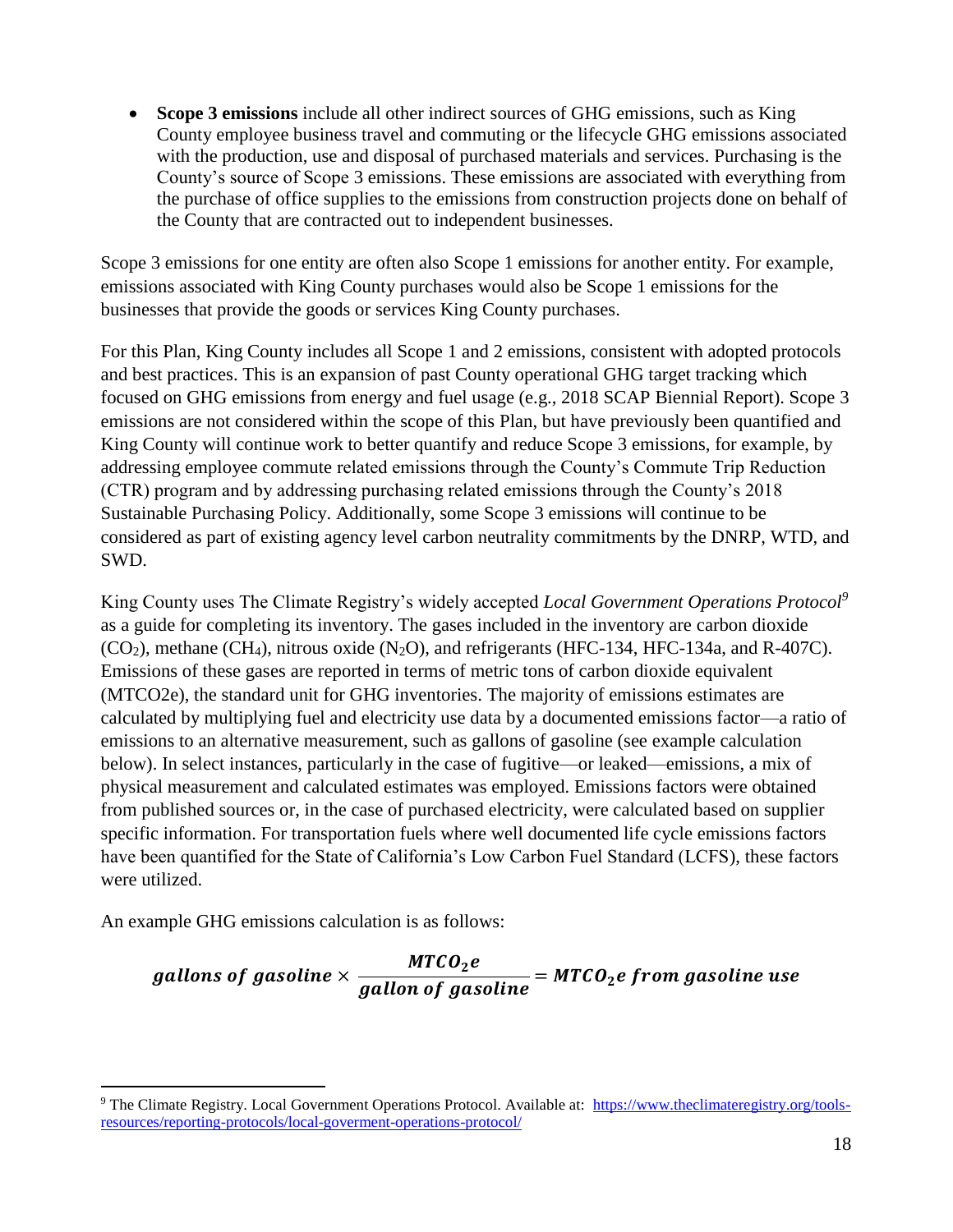**Scope 3 emissions** include all other indirect sources of GHG emissions, such as King County employee business travel and commuting or the lifecycle GHG emissions associated with the production, use and disposal of purchased materials and services. Purchasing is the County's source of Scope 3 emissions. These emissions are associated with everything from the purchase of office supplies to the emissions from construction projects done on behalf of the County that are contracted out to independent businesses.

Scope 3 emissions for one entity are often also Scope 1 emissions for another entity. For example, emissions associated with King County purchases would also be Scope 1 emissions for the businesses that provide the goods or services King County purchases.

For this Plan, King County includes all Scope 1 and 2 emissions, consistent with adopted protocols and best practices. This is an expansion of past County operational GHG target tracking which focused on GHG emissions from energy and fuel usage (e.g., 2018 SCAP Biennial Report). Scope 3 emissions are not considered within the scope of this Plan, but have previously been quantified and King County will continue work to better quantify and reduce Scope 3 emissions, for example, by addressing employee commute related emissions through the County's Commute Trip Reduction (CTR) program and by addressing purchasing related emissions through the County's 2018 Sustainable Purchasing Policy. Additionally, some Scope 3 emissions will continue to be considered as part of existing agency level carbon neutrality commitments by the DNRP, WTD, and SWD.

King County uses The Climate Registry's widely accepted *Local Government Operations Protocol<sup>9</sup>* as a guide for completing its inventory. The gases included in the inventory are carbon dioxide  $(CO<sub>2</sub>)$ , methane  $(CH<sub>4</sub>)$ , nitrous oxide  $(N<sub>2</sub>O)$ , and refrigerants (HFC-134, HFC-134a, and R-407C). Emissions of these gases are reported in terms of metric tons of carbon dioxide equivalent (MTCO2e), the standard unit for GHG inventories. The majority of emissions estimates are calculated by multiplying fuel and electricity use data by a documented emissions factor—a ratio of emissions to an alternative measurement, such as gallons of gasoline (see example calculation below). In select instances, particularly in the case of fugitive—or leaked—emissions, a mix of physical measurement and calculated estimates was employed. Emissions factors were obtained from published sources or, in the case of purchased electricity, were calculated based on supplier specific information. For transportation fuels where well documented life cycle emissions factors have been quantified for the State of California's Low Carbon Fuel Standard (LCFS), these factors were utilized.

An example GHG emissions calculation is as follows:

 $\overline{a}$ 

### gallons of gasoline  $\times$   $\frac{MTCO_2e}{\frac{1}{2}TTCO_2e}$  $\frac{1}{\text{gallon of gasoline}} = \text{MTCO}_2$ e from gasoline use

<sup>9</sup> The Climate Registry. Local Government Operations Protocol. Available at: [https://www.theclimateregistry.org/tools](https://www.theclimateregistry.org/tools-resources/reporting-protocols/local-goverment-operations-protocol/)[resources/reporting-protocols/local-goverment-operations-protocol/](https://www.theclimateregistry.org/tools-resources/reporting-protocols/local-goverment-operations-protocol/)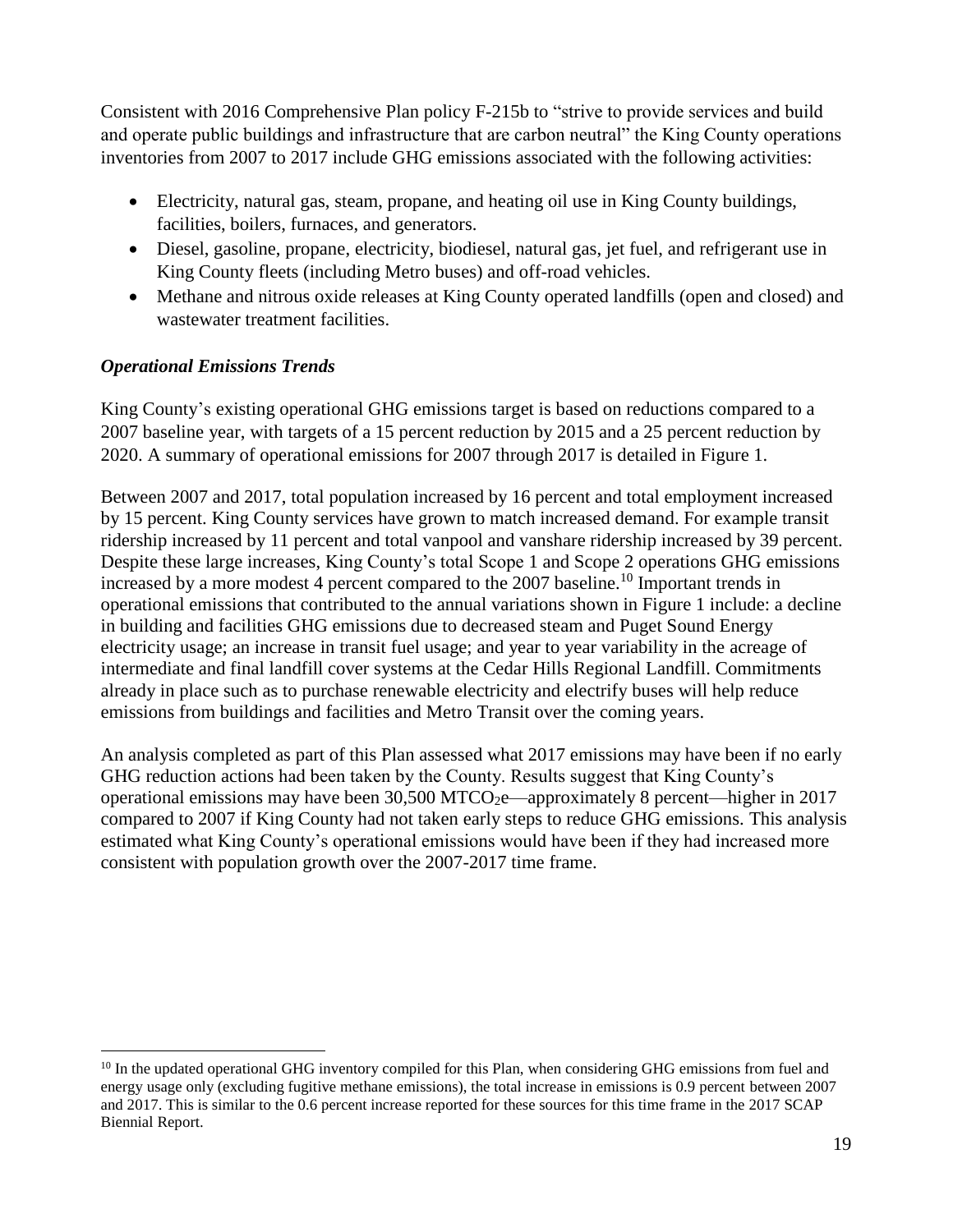Consistent with 2016 Comprehensive Plan policy F-215b to "strive to provide services and build and operate public buildings and infrastructure that are carbon neutral" the King County operations inventories from 2007 to 2017 include GHG emissions associated with the following activities:

- Electricity, natural gas, steam, propane, and heating oil use in King County buildings, facilities, boilers, furnaces, and generators.
- Diesel, gasoline, propane, electricity, biodiesel, natural gas, jet fuel, and refrigerant use in King County fleets (including Metro buses) and off-road vehicles.
- Methane and nitrous oxide releases at King County operated landfills (open and closed) and wastewater treatment facilities.

#### *Operational Emissions Trends*

 $\overline{a}$ 

King County's existing operational GHG emissions target is based on reductions compared to a 2007 baseline year, with targets of a 15 percent reduction by 2015 and a 25 percent reduction by 2020. A summary of operational emissions for 2007 through 2017 is detailed in Figure 1.

Between 2007 and 2017, total population increased by 16 percent and total employment increased by 15 percent. King County services have grown to match increased demand. For example transit ridership increased by 11 percent and total vanpool and vanshare ridership increased by 39 percent. Despite these large increases, King County's total Scope 1 and Scope 2 operations GHG emissions increased by a more modest 4 percent compared to the 2007 baseline. <sup>10</sup> Important trends in operational emissions that contributed to the annual variations shown in Figure 1 include: a decline in building and facilities GHG emissions due to decreased steam and Puget Sound Energy electricity usage; an increase in transit fuel usage; and year to year variability in the acreage of intermediate and final landfill cover systems at the Cedar Hills Regional Landfill. Commitments already in place such as to purchase renewable electricity and electrify buses will help reduce emissions from buildings and facilities and Metro Transit over the coming years.

An analysis completed as part of this Plan assessed what 2017 emissions may have been if no early GHG reduction actions had been taken by the County. Results suggest that King County's operational emissions may have been  $30,500$  MTCO<sub>2</sub>e—approximately 8 percent—higher in 2017 compared to 2007 if King County had not taken early steps to reduce GHG emissions. This analysis estimated what King County's operational emissions would have been if they had increased more consistent with population growth over the 2007-2017 time frame.

<sup>&</sup>lt;sup>10</sup> In the updated operational GHG inventory compiled for this Plan, when considering GHG emissions from fuel and energy usage only (excluding fugitive methane emissions), the total increase in emissions is 0.9 percent between 2007 and 2017. This is similar to the 0.6 percent increase reported for these sources for this time frame in the 2017 SCAP Biennial Report.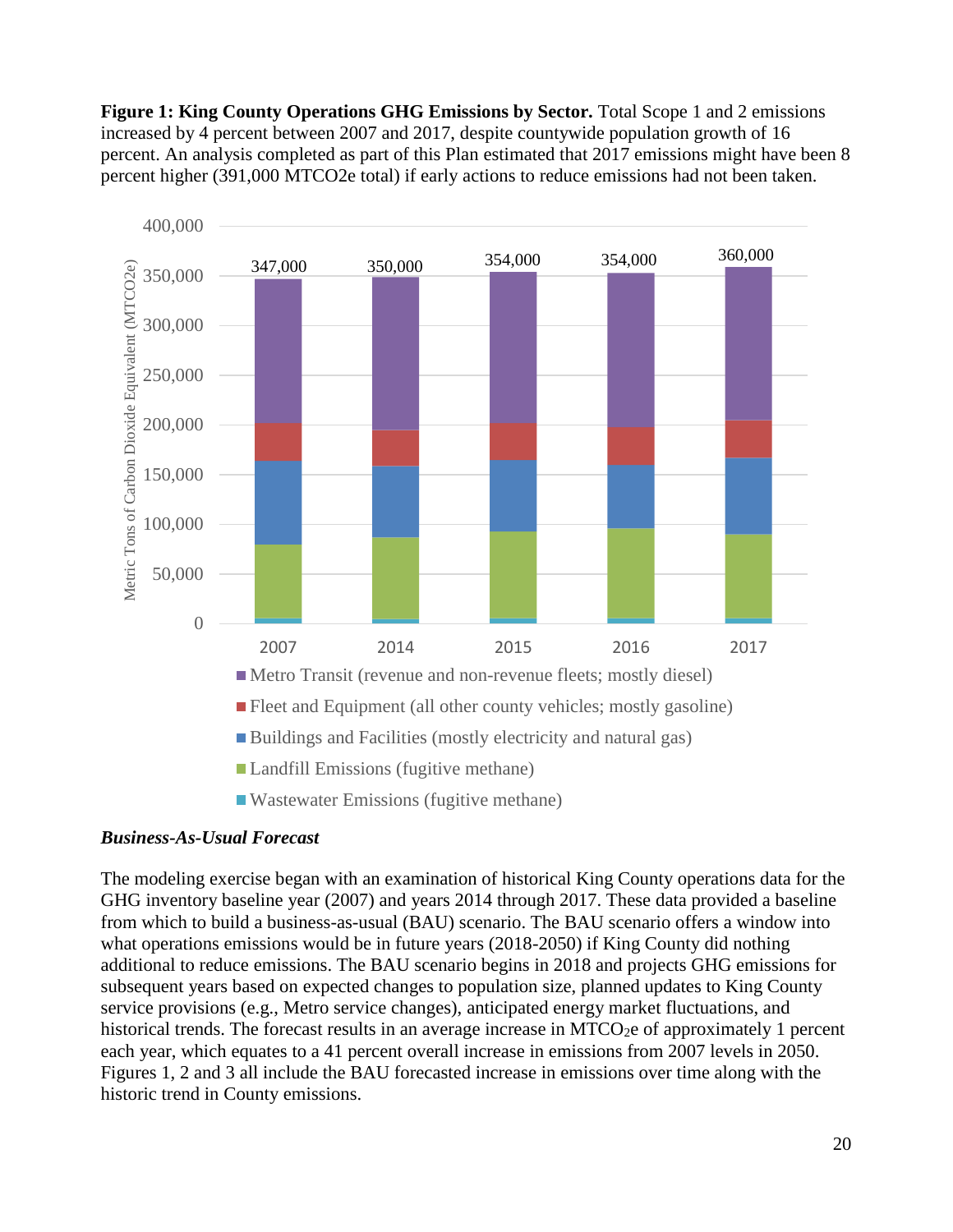**Figure 1: King County Operations GHG Emissions by Sector.** Total Scope 1 and 2 emissions increased by 4 percent between 2007 and 2017, despite countywide population growth of 16 percent. An analysis completed as part of this Plan estimated that 2017 emissions might have been 8 percent higher (391,000 MTCO2e total) if early actions to reduce emissions had not been taken.



#### *Business-As-Usual Forecast*

The modeling exercise began with an examination of historical King County operations data for the GHG inventory baseline year (2007) and years 2014 through 2017. These data provided a baseline from which to build a business-as-usual (BAU) scenario. The BAU scenario offers a window into what operations emissions would be in future years (2018-2050) if King County did nothing additional to reduce emissions. The BAU scenario begins in 2018 and projects GHG emissions for subsequent years based on expected changes to population size, planned updates to King County service provisions (e.g., Metro service changes), anticipated energy market fluctuations, and historical trends. The forecast results in an average increase in MTCO<sub>2</sub>e of approximately 1 percent each year, which equates to a 41 percent overall increase in emissions from 2007 levels in 2050. Figures 1, 2 and 3 all include the BAU forecasted increase in emissions over time along with the historic trend in County emissions.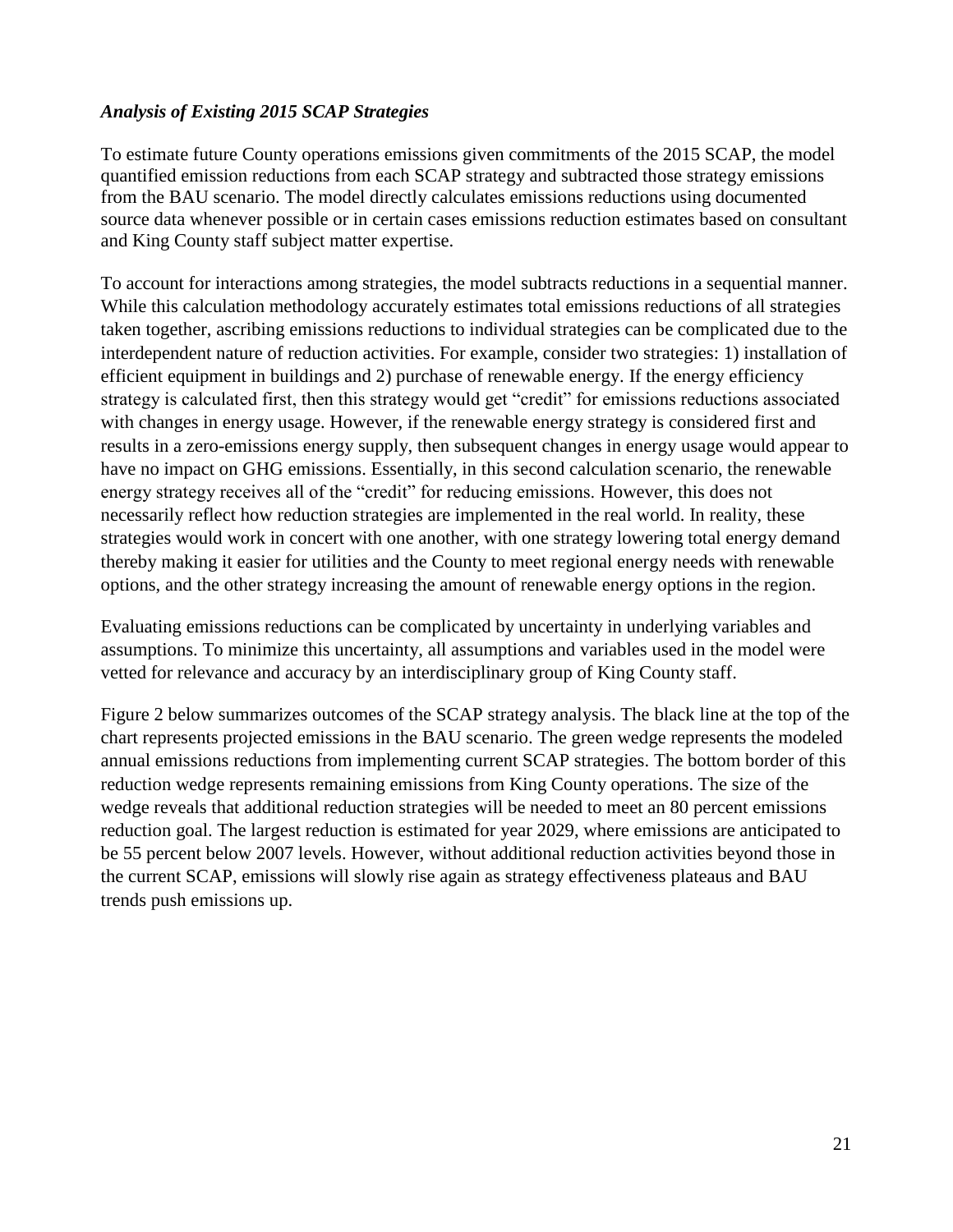#### *Analysis of Existing 2015 SCAP Strategies*

To estimate future County operations emissions given commitments of the 2015 SCAP, the model quantified emission reductions from each SCAP strategy and subtracted those strategy emissions from the BAU scenario. The model directly calculates emissions reductions using documented source data whenever possible or in certain cases emissions reduction estimates based on consultant and King County staff subject matter expertise.

To account for interactions among strategies, the model subtracts reductions in a sequential manner. While this calculation methodology accurately estimates total emissions reductions of all strategies taken together, ascribing emissions reductions to individual strategies can be complicated due to the interdependent nature of reduction activities. For example, consider two strategies: 1) installation of efficient equipment in buildings and 2) purchase of renewable energy. If the energy efficiency strategy is calculated first, then this strategy would get "credit" for emissions reductions associated with changes in energy usage. However, if the renewable energy strategy is considered first and results in a zero-emissions energy supply, then subsequent changes in energy usage would appear to have no impact on GHG emissions. Essentially, in this second calculation scenario, the renewable energy strategy receives all of the "credit" for reducing emissions. However, this does not necessarily reflect how reduction strategies are implemented in the real world. In reality, these strategies would work in concert with one another, with one strategy lowering total energy demand thereby making it easier for utilities and the County to meet regional energy needs with renewable options, and the other strategy increasing the amount of renewable energy options in the region.

Evaluating emissions reductions can be complicated by uncertainty in underlying variables and assumptions. To minimize this uncertainty, all assumptions and variables used in the model were vetted for relevance and accuracy by an interdisciplinary group of King County staff.

Figure 2 below summarizes outcomes of the SCAP strategy analysis. The black line at the top of the chart represents projected emissions in the BAU scenario. The green wedge represents the modeled annual emissions reductions from implementing current SCAP strategies. The bottom border of this reduction wedge represents remaining emissions from King County operations. The size of the wedge reveals that additional reduction strategies will be needed to meet an 80 percent emissions reduction goal. The largest reduction is estimated for year 2029, where emissions are anticipated to be 55 percent below 2007 levels. However, without additional reduction activities beyond those in the current SCAP, emissions will slowly rise again as strategy effectiveness plateaus and BAU trends push emissions up.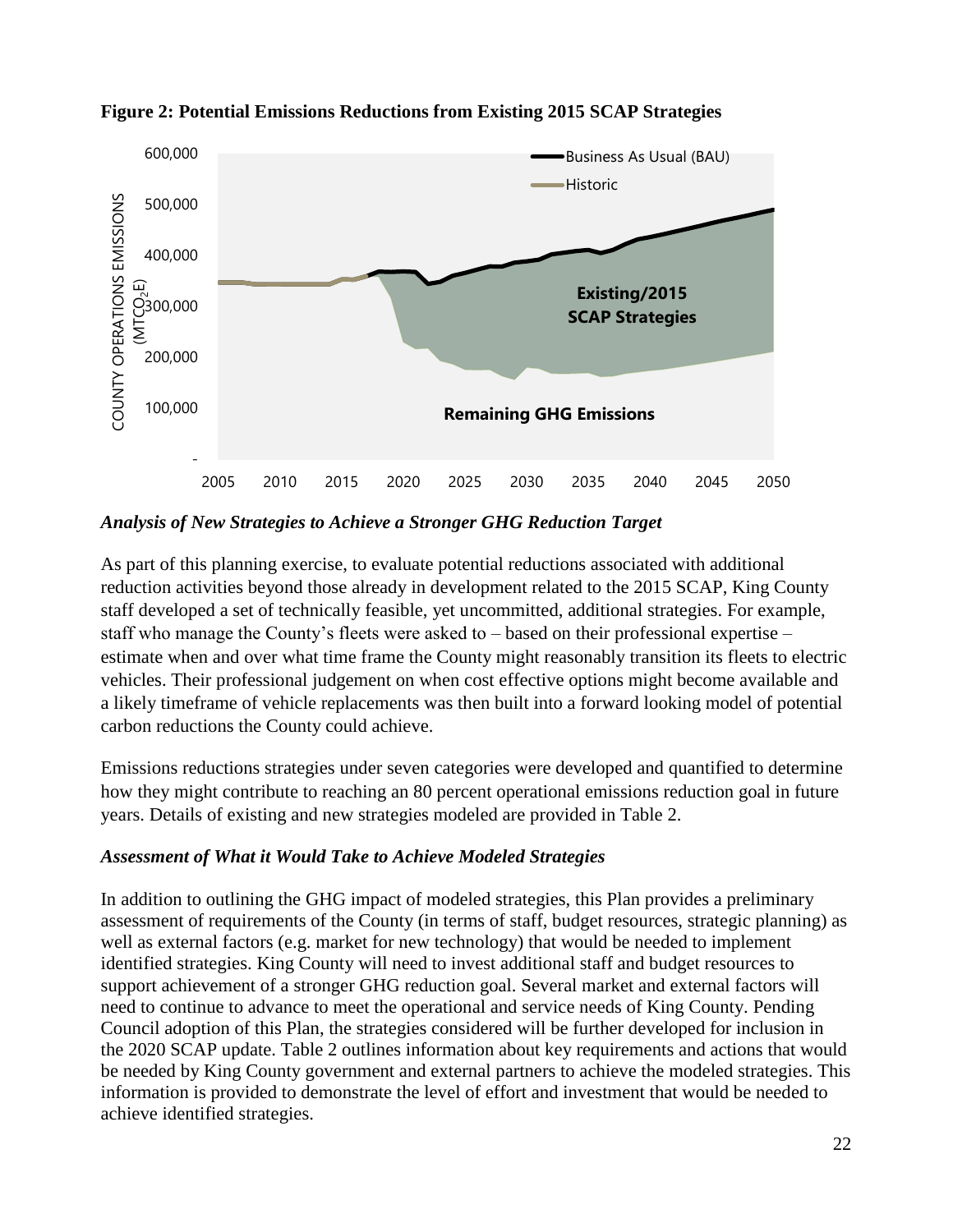

**Figure 2: Potential Emissions Reductions from Existing 2015 SCAP Strategies**

*Analysis of New Strategies to Achieve a Stronger GHG Reduction Target*

As part of this planning exercise, to evaluate potential reductions associated with additional reduction activities beyond those already in development related to the 2015 SCAP, King County staff developed a set of technically feasible, yet uncommitted, additional strategies. For example, staff who manage the County's fleets were asked to – based on their professional expertise – estimate when and over what time frame the County might reasonably transition its fleets to electric vehicles. Their professional judgement on when cost effective options might become available and a likely timeframe of vehicle replacements was then built into a forward looking model of potential carbon reductions the County could achieve.

Emissions reductions strategies under seven categories were developed and quantified to determine how they might contribute to reaching an 80 percent operational emissions reduction goal in future years. Details of existing and new strategies modeled are provided in Table 2.

#### *Assessment of What it Would Take to Achieve Modeled Strategies*

In addition to outlining the GHG impact of modeled strategies, this Plan provides a preliminary assessment of requirements of the County (in terms of staff, budget resources, strategic planning) as well as external factors (e.g. market for new technology) that would be needed to implement identified strategies. King County will need to invest additional staff and budget resources to support achievement of a stronger GHG reduction goal. Several market and external factors will need to continue to advance to meet the operational and service needs of King County. Pending Council adoption of this Plan, the strategies considered will be further developed for inclusion in the 2020 SCAP update. Table 2 outlines information about key requirements and actions that would be needed by King County government and external partners to achieve the modeled strategies. This information is provided to demonstrate the level of effort and investment that would be needed to achieve identified strategies.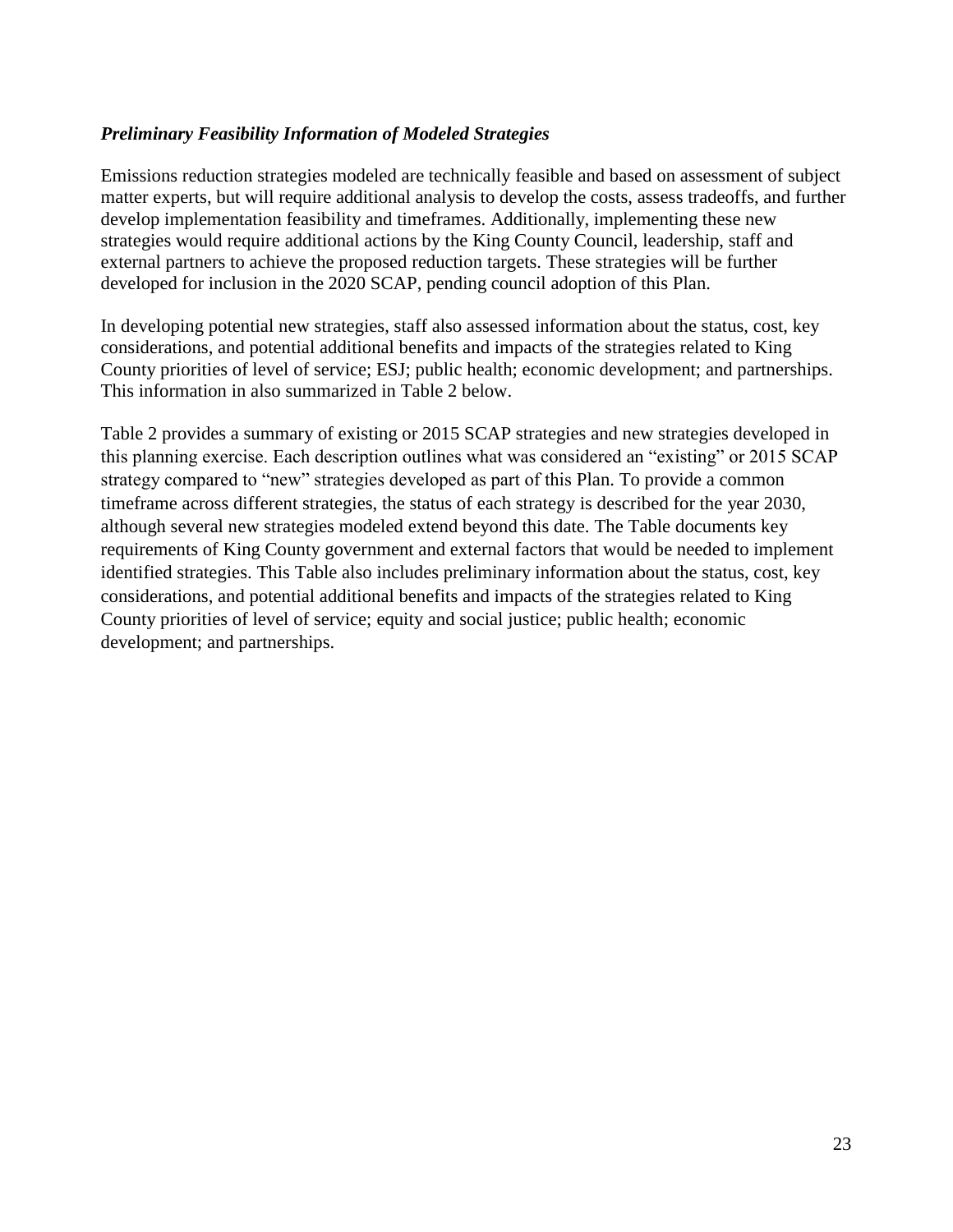#### *Preliminary Feasibility Information of Modeled Strategies*

Emissions reduction strategies modeled are technically feasible and based on assessment of subject matter experts, but will require additional analysis to develop the costs, assess tradeoffs, and further develop implementation feasibility and timeframes. Additionally, implementing these new strategies would require additional actions by the King County Council, leadership, staff and external partners to achieve the proposed reduction targets. These strategies will be further developed for inclusion in the 2020 SCAP, pending council adoption of this Plan.

In developing potential new strategies, staff also assessed information about the status, cost, key considerations, and potential additional benefits and impacts of the strategies related to King County priorities of level of service; ESJ; public health; economic development; and partnerships. This information in also summarized in Table 2 below.

Table 2 provides a summary of existing or 2015 SCAP strategies and new strategies developed in this planning exercise. Each description outlines what was considered an "existing" or 2015 SCAP strategy compared to "new" strategies developed as part of this Plan. To provide a common timeframe across different strategies, the status of each strategy is described for the year 2030, although several new strategies modeled extend beyond this date. The Table documents key requirements of King County government and external factors that would be needed to implement identified strategies. This Table also includes preliminary information about the status, cost, key considerations, and potential additional benefits and impacts of the strategies related to King County priorities of level of service; equity and social justice; public health; economic development; and partnerships.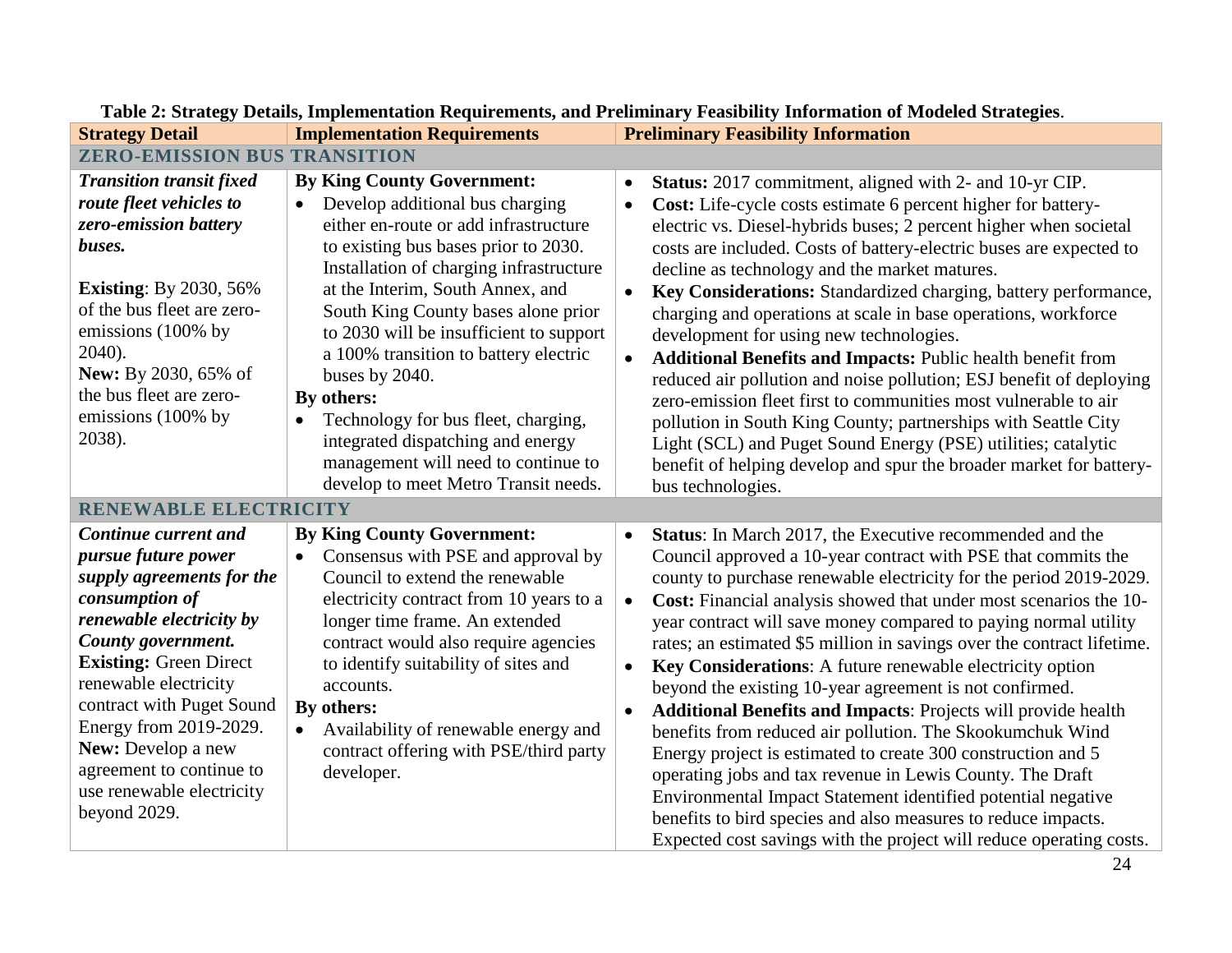| <b>Strategy Detail</b>                                                                                                                                                                                                                                                                                                                                                                       | <b>Implementation Requirements</b>                                                                                                                                                                                                                                                                                                                                                                                                                                                                                                                                                   | <b>Preliminary Feasibility Information</b>                                                                                                                                                                                                                                                                                                                                                                                                                                                                                                                                                                                                                                                                                                                                                                                                                                                                                                                                                                                                          |
|----------------------------------------------------------------------------------------------------------------------------------------------------------------------------------------------------------------------------------------------------------------------------------------------------------------------------------------------------------------------------------------------|--------------------------------------------------------------------------------------------------------------------------------------------------------------------------------------------------------------------------------------------------------------------------------------------------------------------------------------------------------------------------------------------------------------------------------------------------------------------------------------------------------------------------------------------------------------------------------------|-----------------------------------------------------------------------------------------------------------------------------------------------------------------------------------------------------------------------------------------------------------------------------------------------------------------------------------------------------------------------------------------------------------------------------------------------------------------------------------------------------------------------------------------------------------------------------------------------------------------------------------------------------------------------------------------------------------------------------------------------------------------------------------------------------------------------------------------------------------------------------------------------------------------------------------------------------------------------------------------------------------------------------------------------------|
| <b>ZERO-EMISSION BUS TRANSITION</b>                                                                                                                                                                                                                                                                                                                                                          |                                                                                                                                                                                                                                                                                                                                                                                                                                                                                                                                                                                      |                                                                                                                                                                                                                                                                                                                                                                                                                                                                                                                                                                                                                                                                                                                                                                                                                                                                                                                                                                                                                                                     |
| <b>Transition transit fixed</b><br>route fleet vehicles to<br>zero-emission battery<br>buses.<br><b>Existing:</b> By 2030, 56%<br>of the bus fleet are zero-<br>emissions (100% by<br>2040).<br>New: By 2030, 65% of<br>the bus fleet are zero-<br>emissions (100% by<br>2038).                                                                                                              | <b>By King County Government:</b><br>Develop additional bus charging<br>$\bullet$<br>either en-route or add infrastructure<br>to existing bus bases prior to 2030.<br>Installation of charging infrastructure<br>at the Interim, South Annex, and<br>South King County bases alone prior<br>to 2030 will be insufficient to support<br>a 100% transition to battery electric<br>buses by 2040.<br>By others:<br>Technology for bus fleet, charging,<br>$\bullet$<br>integrated dispatching and energy<br>management will need to continue to<br>develop to meet Metro Transit needs. | Status: 2017 commitment, aligned with 2- and 10-yr CIP.<br>Cost: Life-cycle costs estimate 6 percent higher for battery-<br>$\bullet$<br>electric vs. Diesel-hybrids buses; 2 percent higher when societal<br>costs are included. Costs of battery-electric buses are expected to<br>decline as technology and the market matures.<br>Key Considerations: Standardized charging, battery performance,<br>$\bullet$<br>charging and operations at scale in base operations, workforce<br>development for using new technologies.<br>Additional Benefits and Impacts: Public health benefit from<br>reduced air pollution and noise pollution; ESJ benefit of deploying<br>zero-emission fleet first to communities most vulnerable to air<br>pollution in South King County; partnerships with Seattle City<br>Light (SCL) and Puget Sound Energy (PSE) utilities; catalytic<br>benefit of helping develop and spur the broader market for battery-<br>bus technologies.                                                                             |
| RENEWABLE ELECTRICITY<br>Continue current and<br><i>pursue future power</i><br>supply agreements for the<br>consumption of<br>renewable electricity by<br>County government.<br><b>Existing: Green Direct</b><br>renewable electricity<br>contract with Puget Sound<br>Energy from 2019-2029.<br>New: Develop a new<br>agreement to continue to<br>use renewable electricity<br>beyond 2029. | <b>By King County Government:</b><br>Consensus with PSE and approval by<br>$\bullet$<br>Council to extend the renewable<br>electricity contract from 10 years to a<br>longer time frame. An extended<br>contract would also require agencies<br>to identify suitability of sites and<br>accounts.<br>By others:<br>Availability of renewable energy and<br>contract offering with PSE/third party<br>developer.                                                                                                                                                                      | Status: In March 2017, the Executive recommended and the<br>$\bullet$<br>Council approved a 10-year contract with PSE that commits the<br>county to purchase renewable electricity for the period 2019-2029.<br>Cost: Financial analysis showed that under most scenarios the 10-<br>$\bullet$<br>year contract will save money compared to paying normal utility<br>rates; an estimated \$5 million in savings over the contract lifetime.<br>Key Considerations: A future renewable electricity option<br>$\bullet$<br>beyond the existing 10-year agreement is not confirmed.<br>Additional Benefits and Impacts: Projects will provide health<br>benefits from reduced air pollution. The Skookumchuk Wind<br>Energy project is estimated to create 300 construction and 5<br>operating jobs and tax revenue in Lewis County. The Draft<br>Environmental Impact Statement identified potential negative<br>benefits to bird species and also measures to reduce impacts.<br>Expected cost savings with the project will reduce operating costs. |

# **Table 2: Strategy Details, Implementation Requirements, and Preliminary Feasibility Information of Modeled Strategies**.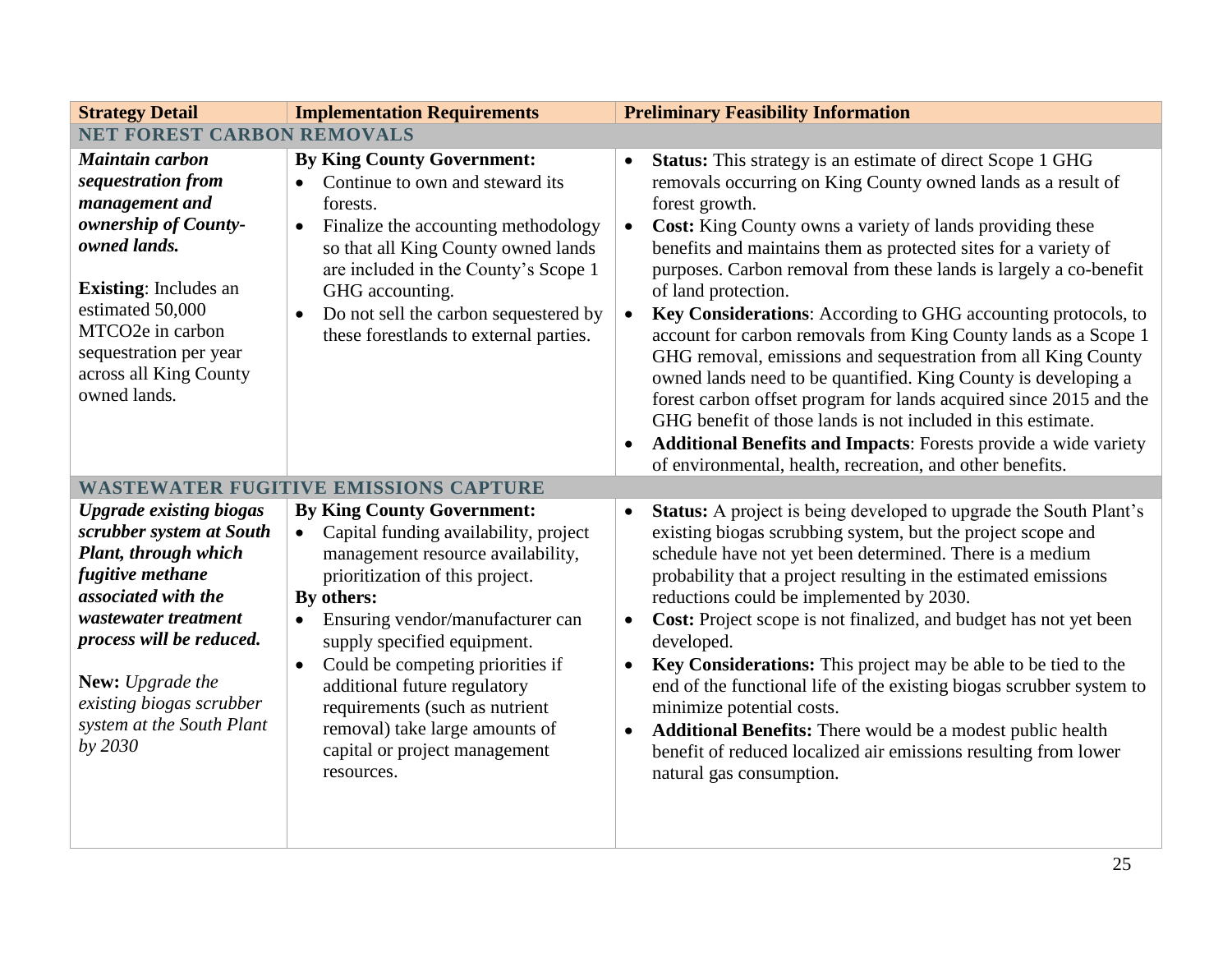| <b>Strategy Detail</b>                                                                                                                                                                                                                                                    | <b>Implementation Requirements</b>                                                                                                                                                                                                                                                                                                                                                                                                                                | <b>Preliminary Feasibility Information</b>                                                                                                                                                                                                                                                                                                                                                                                                                                                                                                                                                                                                                                                                                                                                                                                                                                                                                                                                                     |  |
|---------------------------------------------------------------------------------------------------------------------------------------------------------------------------------------------------------------------------------------------------------------------------|-------------------------------------------------------------------------------------------------------------------------------------------------------------------------------------------------------------------------------------------------------------------------------------------------------------------------------------------------------------------------------------------------------------------------------------------------------------------|------------------------------------------------------------------------------------------------------------------------------------------------------------------------------------------------------------------------------------------------------------------------------------------------------------------------------------------------------------------------------------------------------------------------------------------------------------------------------------------------------------------------------------------------------------------------------------------------------------------------------------------------------------------------------------------------------------------------------------------------------------------------------------------------------------------------------------------------------------------------------------------------------------------------------------------------------------------------------------------------|--|
| <b>NET FOREST CARBON REMOVALS</b>                                                                                                                                                                                                                                         |                                                                                                                                                                                                                                                                                                                                                                                                                                                                   |                                                                                                                                                                                                                                                                                                                                                                                                                                                                                                                                                                                                                                                                                                                                                                                                                                                                                                                                                                                                |  |
| <b>Maintain carbon</b><br>sequestration from<br>management and<br>ownership of County-<br>owned lands.<br><b>Existing:</b> Includes an<br>estimated 50,000<br>MTCO2e in carbon<br>sequestration per year<br>across all King County<br>owned lands.                        | <b>By King County Government:</b><br>Continue to own and steward its<br>$\bullet$<br>forests.<br>Finalize the accounting methodology<br>$\bullet$<br>so that all King County owned lands<br>are included in the County's Scope 1<br>GHG accounting.<br>Do not sell the carbon sequestered by<br>these forestlands to external parties.                                                                                                                            | <b>Status:</b> This strategy is an estimate of direct Scope 1 GHG<br>$\bullet$<br>removals occurring on King County owned lands as a result of<br>forest growth.<br><b>Cost:</b> King County owns a variety of lands providing these<br>$\bullet$<br>benefits and maintains them as protected sites for a variety of<br>purposes. Carbon removal from these lands is largely a co-benefit<br>of land protection.<br>Key Considerations: According to GHG accounting protocols, to<br>$\bullet$<br>account for carbon removals from King County lands as a Scope 1<br>GHG removal, emissions and sequestration from all King County<br>owned lands need to be quantified. King County is developing a<br>forest carbon offset program for lands acquired since 2015 and the<br>GHG benefit of those lands is not included in this estimate.<br><b>Additional Benefits and Impacts:</b> Forests provide a wide variety<br>$\bullet$<br>of environmental, health, recreation, and other benefits. |  |
|                                                                                                                                                                                                                                                                           | <b>WASTEWATER FUGITIVE EMISSIONS CAPTURE</b>                                                                                                                                                                                                                                                                                                                                                                                                                      |                                                                                                                                                                                                                                                                                                                                                                                                                                                                                                                                                                                                                                                                                                                                                                                                                                                                                                                                                                                                |  |
| <b>Upgrade existing biogas</b><br>scrubber system at South<br>Plant, through which<br>fugitive methane<br>associated with the<br>wastewater treatment<br>process will be reduced.<br>New: Upgrade the<br>existing biogas scrubber<br>system at the South Plant<br>by 2030 | <b>By King County Government:</b><br>Capital funding availability, project<br>$\bullet$<br>management resource availability,<br>prioritization of this project.<br>By others:<br>Ensuring vendor/manufacturer can<br>$\bullet$<br>supply specified equipment.<br>Could be competing priorities if<br>$\bullet$<br>additional future regulatory<br>requirements (such as nutrient<br>removal) take large amounts of<br>capital or project management<br>resources. | <b>Status:</b> A project is being developed to upgrade the South Plant's<br>$\bullet$<br>existing biogas scrubbing system, but the project scope and<br>schedule have not yet been determined. There is a medium<br>probability that a project resulting in the estimated emissions<br>reductions could be implemented by 2030.<br>Cost: Project scope is not finalized, and budget has not yet been<br>$\bullet$<br>developed.<br>Key Considerations: This project may be able to be tied to the<br>$\bullet$<br>end of the functional life of the existing biogas scrubber system to<br>minimize potential costs.<br><b>Additional Benefits:</b> There would be a modest public health<br>$\bullet$<br>benefit of reduced localized air emissions resulting from lower<br>natural gas consumption.                                                                                                                                                                                           |  |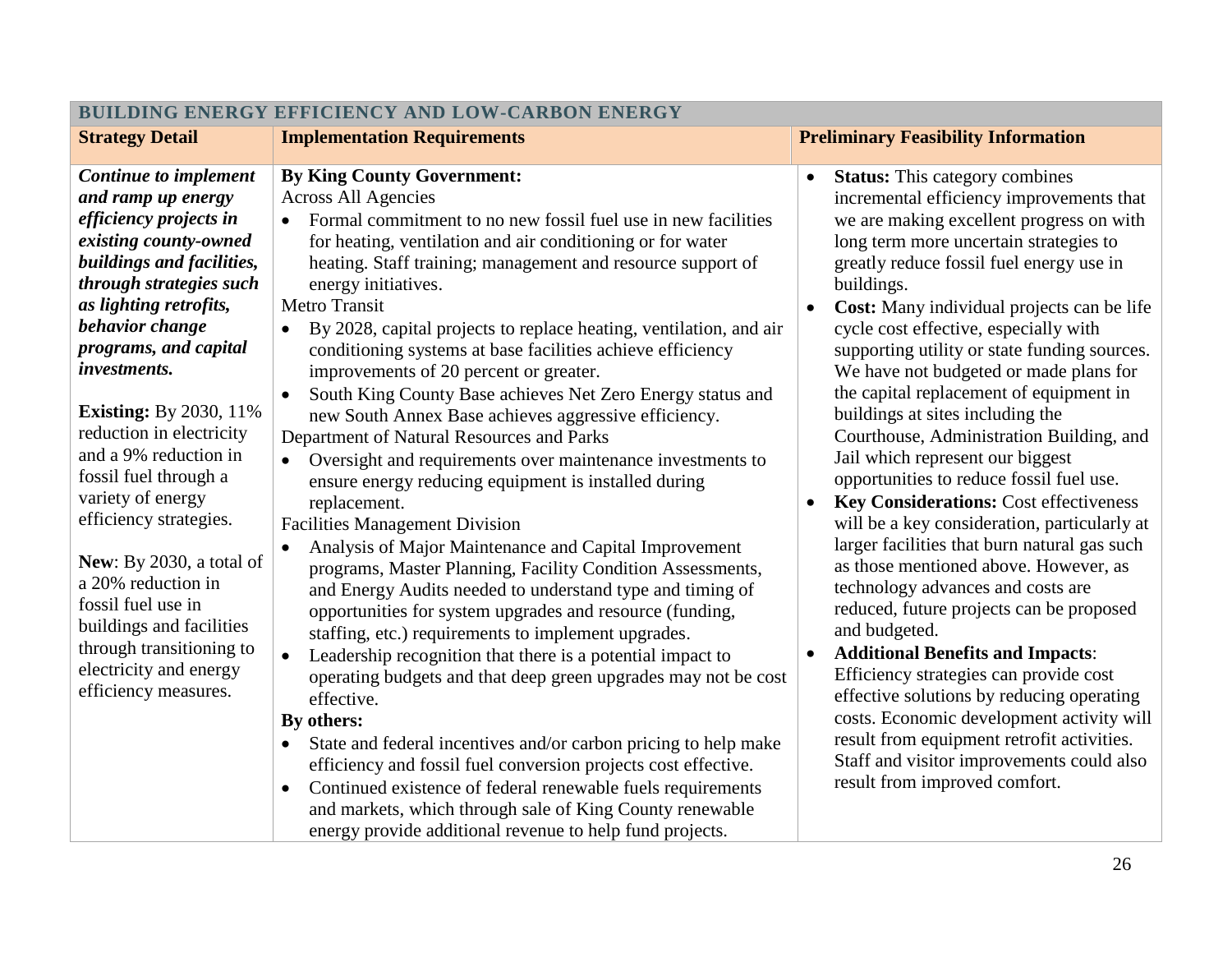| BUILDING ENERGY EFFICIENCY AND LOW-CARBON ENERGY                                                                                                                                                                                                                                                                                                                                                                                                                                                                                                                                                    |                                                                                                                                                                                                                                                                                                                                                                                                                                                                                                                                                                                                                                                                                                                                                                                                                                                                                                                                                                                                                                                                                                                                                                                                                                                                                                                                                                                                                                                                                                                                                                                                                                                                                                                                        |                                                                                                                                                                                                                                                                                                                                                                                                                                                                                                                                                                                                                                                                                                                                                                                                                                                                                                                                                                                                                                                                                                                                                                                                                                                                             |  |
|-----------------------------------------------------------------------------------------------------------------------------------------------------------------------------------------------------------------------------------------------------------------------------------------------------------------------------------------------------------------------------------------------------------------------------------------------------------------------------------------------------------------------------------------------------------------------------------------------------|----------------------------------------------------------------------------------------------------------------------------------------------------------------------------------------------------------------------------------------------------------------------------------------------------------------------------------------------------------------------------------------------------------------------------------------------------------------------------------------------------------------------------------------------------------------------------------------------------------------------------------------------------------------------------------------------------------------------------------------------------------------------------------------------------------------------------------------------------------------------------------------------------------------------------------------------------------------------------------------------------------------------------------------------------------------------------------------------------------------------------------------------------------------------------------------------------------------------------------------------------------------------------------------------------------------------------------------------------------------------------------------------------------------------------------------------------------------------------------------------------------------------------------------------------------------------------------------------------------------------------------------------------------------------------------------------------------------------------------------|-----------------------------------------------------------------------------------------------------------------------------------------------------------------------------------------------------------------------------------------------------------------------------------------------------------------------------------------------------------------------------------------------------------------------------------------------------------------------------------------------------------------------------------------------------------------------------------------------------------------------------------------------------------------------------------------------------------------------------------------------------------------------------------------------------------------------------------------------------------------------------------------------------------------------------------------------------------------------------------------------------------------------------------------------------------------------------------------------------------------------------------------------------------------------------------------------------------------------------------------------------------------------------|--|
| <b>Strategy Detail</b>                                                                                                                                                                                                                                                                                                                                                                                                                                                                                                                                                                              | <b>Implementation Requirements</b>                                                                                                                                                                                                                                                                                                                                                                                                                                                                                                                                                                                                                                                                                                                                                                                                                                                                                                                                                                                                                                                                                                                                                                                                                                                                                                                                                                                                                                                                                                                                                                                                                                                                                                     | <b>Preliminary Feasibility Information</b>                                                                                                                                                                                                                                                                                                                                                                                                                                                                                                                                                                                                                                                                                                                                                                                                                                                                                                                                                                                                                                                                                                                                                                                                                                  |  |
|                                                                                                                                                                                                                                                                                                                                                                                                                                                                                                                                                                                                     |                                                                                                                                                                                                                                                                                                                                                                                                                                                                                                                                                                                                                                                                                                                                                                                                                                                                                                                                                                                                                                                                                                                                                                                                                                                                                                                                                                                                                                                                                                                                                                                                                                                                                                                                        |                                                                                                                                                                                                                                                                                                                                                                                                                                                                                                                                                                                                                                                                                                                                                                                                                                                                                                                                                                                                                                                                                                                                                                                                                                                                             |  |
| <b>Continue to implement</b><br>and ramp up energy<br>efficiency projects in<br>existing county-owned<br>buildings and facilities,<br>through strategies such<br>as lighting retrofits,<br>behavior change<br>programs, and capital<br>investments.<br><b>Existing:</b> By 2030, 11%<br>reduction in electricity<br>and a 9% reduction in<br>fossil fuel through a<br>variety of energy<br>efficiency strategies.<br>New: By 2030, a total of<br>a 20% reduction in<br>fossil fuel use in<br>buildings and facilities<br>through transitioning to<br>electricity and energy<br>efficiency measures. | <b>By King County Government:</b><br><b>Across All Agencies</b><br>Formal commitment to no new fossil fuel use in new facilities<br>for heating, ventilation and air conditioning or for water<br>heating. Staff training; management and resource support of<br>energy initiatives.<br><b>Metro Transit</b><br>By 2028, capital projects to replace heating, ventilation, and air<br>$\bullet$<br>conditioning systems at base facilities achieve efficiency<br>improvements of 20 percent or greater.<br>South King County Base achieves Net Zero Energy status and<br>$\bullet$<br>new South Annex Base achieves aggressive efficiency.<br>Department of Natural Resources and Parks<br>Oversight and requirements over maintenance investments to<br>$\bullet$<br>ensure energy reducing equipment is installed during<br>replacement.<br><b>Facilities Management Division</b><br>Analysis of Major Maintenance and Capital Improvement<br>$\bullet$<br>programs, Master Planning, Facility Condition Assessments,<br>and Energy Audits needed to understand type and timing of<br>opportunities for system upgrades and resource (funding,<br>staffing, etc.) requirements to implement upgrades.<br>Leadership recognition that there is a potential impact to<br>$\bullet$<br>operating budgets and that deep green upgrades may not be cost<br>effective.<br>By others:<br>State and federal incentives and/or carbon pricing to help make<br>$\bullet$<br>efficiency and fossil fuel conversion projects cost effective.<br>Continued existence of federal renewable fuels requirements<br>$\bullet$<br>and markets, which through sale of King County renewable<br>energy provide additional revenue to help fund projects. | <b>Status:</b> This category combines<br>incremental efficiency improvements that<br>we are making excellent progress on with<br>long term more uncertain strategies to<br>greatly reduce fossil fuel energy use in<br>buildings.<br>Cost: Many individual projects can be life<br>$\bullet$<br>cycle cost effective, especially with<br>supporting utility or state funding sources.<br>We have not budgeted or made plans for<br>the capital replacement of equipment in<br>buildings at sites including the<br>Courthouse, Administration Building, and<br>Jail which represent our biggest<br>opportunities to reduce fossil fuel use.<br><b>Key Considerations: Cost effectiveness</b><br>$\bullet$<br>will be a key consideration, particularly at<br>larger facilities that burn natural gas such<br>as those mentioned above. However, as<br>technology advances and costs are<br>reduced, future projects can be proposed<br>and budgeted.<br><b>Additional Benefits and Impacts:</b><br>$\bullet$<br>Efficiency strategies can provide cost<br>effective solutions by reducing operating<br>costs. Economic development activity will<br>result from equipment retrofit activities.<br>Staff and visitor improvements could also<br>result from improved comfort. |  |
|                                                                                                                                                                                                                                                                                                                                                                                                                                                                                                                                                                                                     |                                                                                                                                                                                                                                                                                                                                                                                                                                                                                                                                                                                                                                                                                                                                                                                                                                                                                                                                                                                                                                                                                                                                                                                                                                                                                                                                                                                                                                                                                                                                                                                                                                                                                                                                        |                                                                                                                                                                                                                                                                                                                                                                                                                                                                                                                                                                                                                                                                                                                                                                                                                                                                                                                                                                                                                                                                                                                                                                                                                                                                             |  |

## **BUILDING ENERGY EFFICIENCY AND LOW-CARBON ENERGY**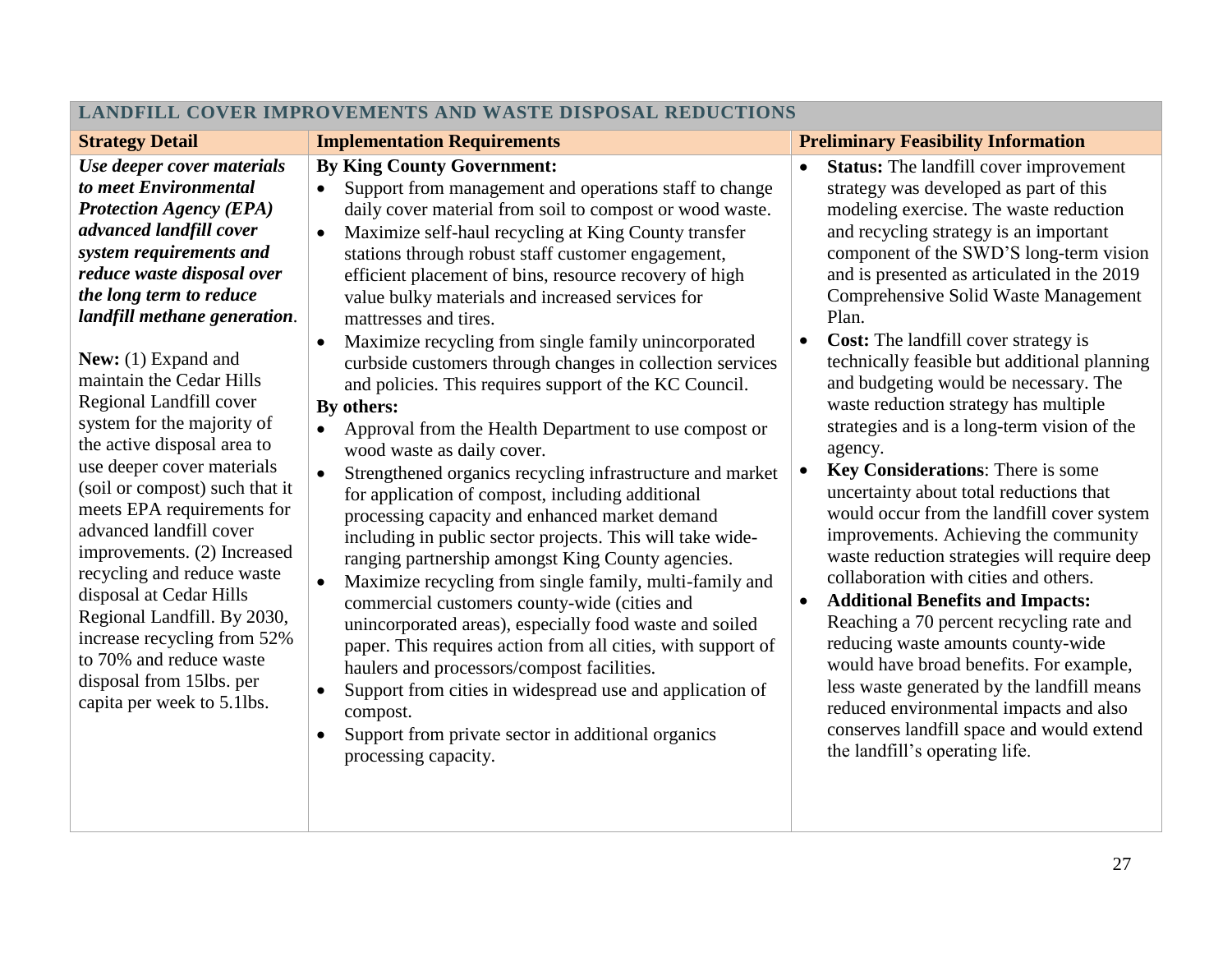| LANDFILL COVER IMPROVEMENTS AND WASTE DISPOSAL REDUCTIONS                                                                                                                                                                                                                                                                                                                                                                                                                                                                                                                                                                                                                                                                                             |                                                                                                                                                                                                                                                                                                                                                                                                                                                                                                                                                                                                                                                                                                                                                                                                                                                                                                                                                                                                                                                                                                                                                                                                                                                                                                                                                                                                                                                                                                                                         |                                                                                                                                                                                                                                                                                                                                                                                                                                                                                                                                                                                                                                                                                                                                                                                                                                                                                                                                                                                                                                                                                                                                                                                                                                      |  |
|-------------------------------------------------------------------------------------------------------------------------------------------------------------------------------------------------------------------------------------------------------------------------------------------------------------------------------------------------------------------------------------------------------------------------------------------------------------------------------------------------------------------------------------------------------------------------------------------------------------------------------------------------------------------------------------------------------------------------------------------------------|-----------------------------------------------------------------------------------------------------------------------------------------------------------------------------------------------------------------------------------------------------------------------------------------------------------------------------------------------------------------------------------------------------------------------------------------------------------------------------------------------------------------------------------------------------------------------------------------------------------------------------------------------------------------------------------------------------------------------------------------------------------------------------------------------------------------------------------------------------------------------------------------------------------------------------------------------------------------------------------------------------------------------------------------------------------------------------------------------------------------------------------------------------------------------------------------------------------------------------------------------------------------------------------------------------------------------------------------------------------------------------------------------------------------------------------------------------------------------------------------------------------------------------------------|--------------------------------------------------------------------------------------------------------------------------------------------------------------------------------------------------------------------------------------------------------------------------------------------------------------------------------------------------------------------------------------------------------------------------------------------------------------------------------------------------------------------------------------------------------------------------------------------------------------------------------------------------------------------------------------------------------------------------------------------------------------------------------------------------------------------------------------------------------------------------------------------------------------------------------------------------------------------------------------------------------------------------------------------------------------------------------------------------------------------------------------------------------------------------------------------------------------------------------------|--|
| <b>Strategy Detail</b>                                                                                                                                                                                                                                                                                                                                                                                                                                                                                                                                                                                                                                                                                                                                | <b>Implementation Requirements</b>                                                                                                                                                                                                                                                                                                                                                                                                                                                                                                                                                                                                                                                                                                                                                                                                                                                                                                                                                                                                                                                                                                                                                                                                                                                                                                                                                                                                                                                                                                      | <b>Preliminary Feasibility Information</b>                                                                                                                                                                                                                                                                                                                                                                                                                                                                                                                                                                                                                                                                                                                                                                                                                                                                                                                                                                                                                                                                                                                                                                                           |  |
| Use deeper cover materials<br>to meet Environmental<br><b>Protection Agency (EPA)</b><br>advanced landfill cover<br>system requirements and<br>reduce waste disposal over<br>the long term to reduce<br>landfill methane generation.<br>New: $(1)$ Expand and<br>maintain the Cedar Hills<br>Regional Landfill cover<br>system for the majority of<br>the active disposal area to<br>use deeper cover materials<br>(soil or compost) such that it<br>meets EPA requirements for<br>advanced landfill cover<br>improvements. (2) Increased<br>recycling and reduce waste<br>disposal at Cedar Hills<br>Regional Landfill. By 2030,<br>increase recycling from 52%<br>to 70% and reduce waste<br>disposal from 15lbs. per<br>capita per week to 5.1lbs. | <b>By King County Government:</b><br>Support from management and operations staff to change<br>$\bullet$<br>daily cover material from soil to compost or wood waste.<br>Maximize self-haul recycling at King County transfer<br>$\bullet$<br>stations through robust staff customer engagement,<br>efficient placement of bins, resource recovery of high<br>value bulky materials and increased services for<br>mattresses and tires.<br>Maximize recycling from single family unincorporated<br>$\bullet$<br>curbside customers through changes in collection services<br>and policies. This requires support of the KC Council.<br>By others:<br>Approval from the Health Department to use compost or<br>$\bullet$<br>wood waste as daily cover.<br>Strengthened organics recycling infrastructure and market<br>$\bullet$<br>for application of compost, including additional<br>processing capacity and enhanced market demand<br>including in public sector projects. This will take wide-<br>ranging partnership amongst King County agencies.<br>Maximize recycling from single family, multi-family and<br>$\bullet$<br>commercial customers county-wide (cities and<br>unincorporated areas), especially food waste and soiled<br>paper. This requires action from all cities, with support of<br>haulers and processors/compost facilities.<br>Support from cities in widespread use and application of<br>$\bullet$<br>compost.<br>Support from private sector in additional organics<br>$\bullet$<br>processing capacity. | <b>Status:</b> The landfill cover improvement<br>$\bullet$<br>strategy was developed as part of this<br>modeling exercise. The waste reduction<br>and recycling strategy is an important<br>component of the SWD'S long-term vision<br>and is presented as articulated in the 2019<br>Comprehensive Solid Waste Management<br>Plan.<br><b>Cost:</b> The landfill cover strategy is<br>$\bullet$<br>technically feasible but additional planning<br>and budgeting would be necessary. The<br>waste reduction strategy has multiple<br>strategies and is a long-term vision of the<br>agency.<br>Key Considerations: There is some<br>$\bullet$<br>uncertainty about total reductions that<br>would occur from the landfill cover system<br>improvements. Achieving the community<br>waste reduction strategies will require deep<br>collaboration with cities and others.<br><b>Additional Benefits and Impacts:</b><br>$\bullet$<br>Reaching a 70 percent recycling rate and<br>reducing waste amounts county-wide<br>would have broad benefits. For example,<br>less waste generated by the landfill means<br>reduced environmental impacts and also<br>conserves landfill space and would extend<br>the landfill's operating life. |  |

### **LANDFILL COVER IMPROVEMENTS AND WASTE DISPOSAL REDUCTIONS**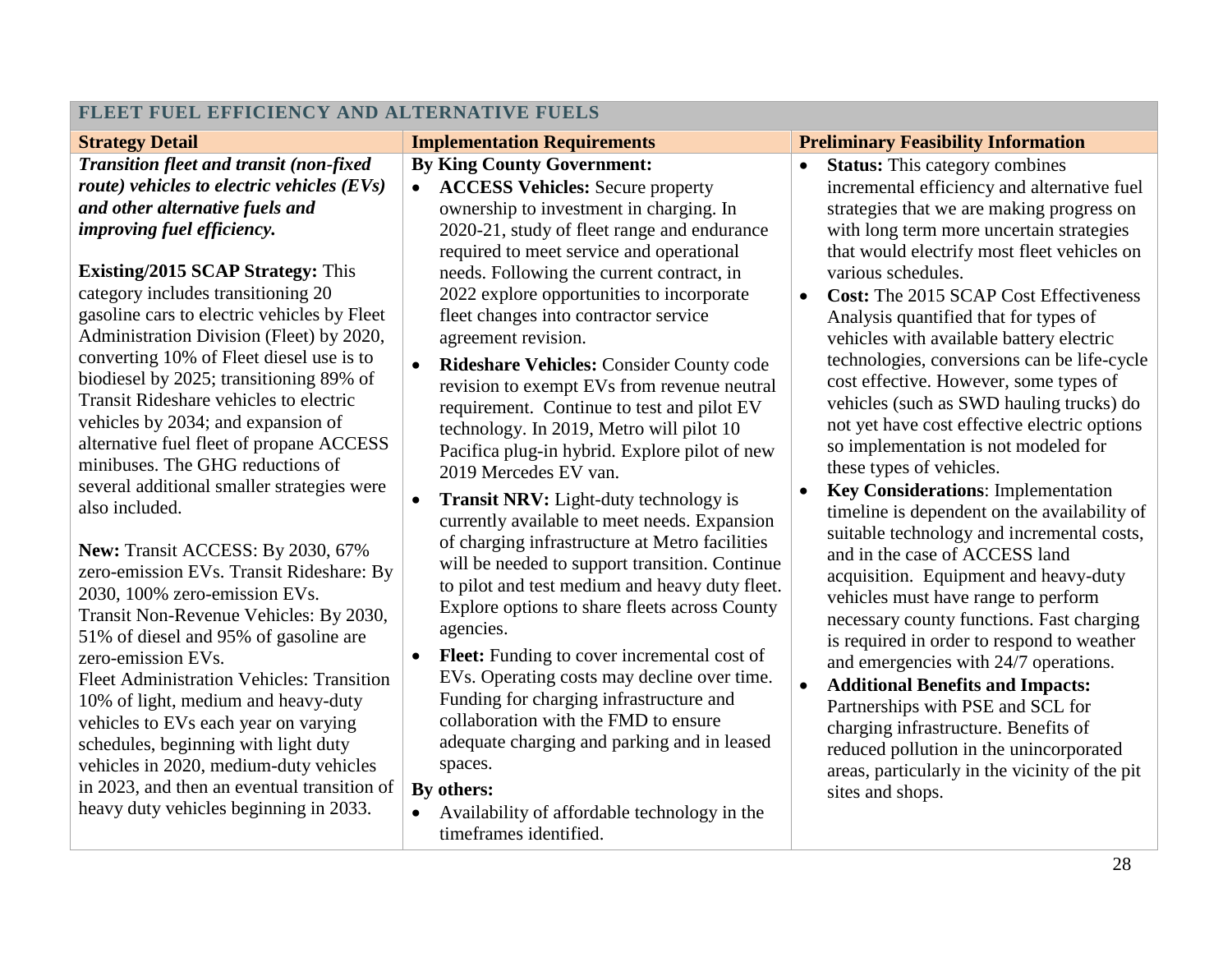| <b>Strategy Detail</b>                                      | <b>Implementation Requirements</b>                   | <b>Preliminary Feasibility Information</b>                 |  |
|-------------------------------------------------------------|------------------------------------------------------|------------------------------------------------------------|--|
| <b>Transition fleet and transit (non-fixed)</b>             | <b>By King County Government:</b>                    | <b>Status:</b> This category combines<br>$\bullet$         |  |
| route) vehicles to electric vehicles $(EVs)$                | <b>ACCESS Vehicles:</b> Secure property<br>$\bullet$ | incremental efficiency and alternative fuel                |  |
| and other alternative fuels and                             | ownership to investment in charging. In              | strategies that we are making progress on                  |  |
| <i>improving fuel efficiency.</i>                           | 2020-21, study of fleet range and endurance          | with long term more uncertain strategies                   |  |
|                                                             | required to meet service and operational             | that would electrify most fleet vehicles on                |  |
| <b>Existing/2015 SCAP Strategy: This</b>                    | needs. Following the current contract, in            | various schedules.                                         |  |
| category includes transitioning 20                          | 2022 explore opportunities to incorporate            | <b>Cost:</b> The 2015 SCAP Cost Effectiveness<br>$\bullet$ |  |
| gasoline cars to electric vehicles by Fleet                 | fleet changes into contractor service                | Analysis quantified that for types of                      |  |
| Administration Division (Fleet) by 2020,                    | agreement revision.                                  | vehicles with available battery electric                   |  |
| converting 10% of Fleet diesel use is to                    | <b>Rideshare Vehicles: Consider County code</b>      | technologies, conversions can be life-cycle                |  |
| biodiesel by 2025; transitioning 89% of                     | revision to exempt EVs from revenue neutral          | cost effective. However, some types of                     |  |
| Transit Rideshare vehicles to electric                      | requirement. Continue to test and pilot EV           | vehicles (such as SWD hauling trucks) do                   |  |
| vehicles by 2034; and expansion of                          | technology. In 2019, Metro will pilot 10             | not yet have cost effective electric options               |  |
| alternative fuel fleet of propane ACCESS                    | Pacifica plug-in hybrid. Explore pilot of new        | so implementation is not modeled for                       |  |
| minibuses. The GHG reductions of                            | 2019 Mercedes EV van.                                | these types of vehicles.                                   |  |
| several additional smaller strategies were                  | Transit NRV: Light-duty technology is                | <b>Key Considerations:</b> Implementation                  |  |
| also included.                                              | currently available to meet needs. Expansion         | timeline is dependent on the availability of               |  |
|                                                             | of charging infrastructure at Metro facilities       | suitable technology and incremental costs,                 |  |
| New: Transit ACCESS: By 2030, 67%                           | will be needed to support transition. Continue       | and in the case of ACCESS land                             |  |
| zero-emission EVs. Transit Rideshare: By                    | to pilot and test medium and heavy duty fleet.       | acquisition. Equipment and heavy-duty                      |  |
| 2030, 100% zero-emission EVs.                               | Explore options to share fleets across County        | vehicles must have range to perform                        |  |
| Transit Non-Revenue Vehicles: By 2030,                      | agencies.                                            | necessary county functions. Fast charging                  |  |
| 51% of diesel and 95% of gasoline are<br>zero-emission EVs. | <b>Fleet:</b> Funding to cover incremental cost of   | is required in order to respond to weather                 |  |
| <b>Fleet Administration Vehicles: Transition</b>            | EVs. Operating costs may decline over time.          | and emergencies with 24/7 operations.                      |  |
| 10% of light, medium and heavy-duty                         | Funding for charging infrastructure and              | <b>Additional Benefits and Impacts:</b><br>$\bullet$       |  |
| vehicles to EVs each year on varying                        | collaboration with the FMD to ensure                 | Partnerships with PSE and SCL for                          |  |
| schedules, beginning with light duty                        | adequate charging and parking and in leased          | charging infrastructure. Benefits of                       |  |
| vehicles in 2020, medium-duty vehicles                      | spaces.                                              | reduced pollution in the unincorporated                    |  |
| in 2023, and then an eventual transition of                 | By others:                                           | areas, particularly in the vicinity of the pit             |  |
| heavy duty vehicles beginning in 2033.                      | Availability of affordable technology in the         | sites and shops.                                           |  |
|                                                             | timeframes identified.                               |                                                            |  |
|                                                             |                                                      |                                                            |  |

## **FLEET FUEL EFFICIENCY AND ALTERNATIVE FUELS**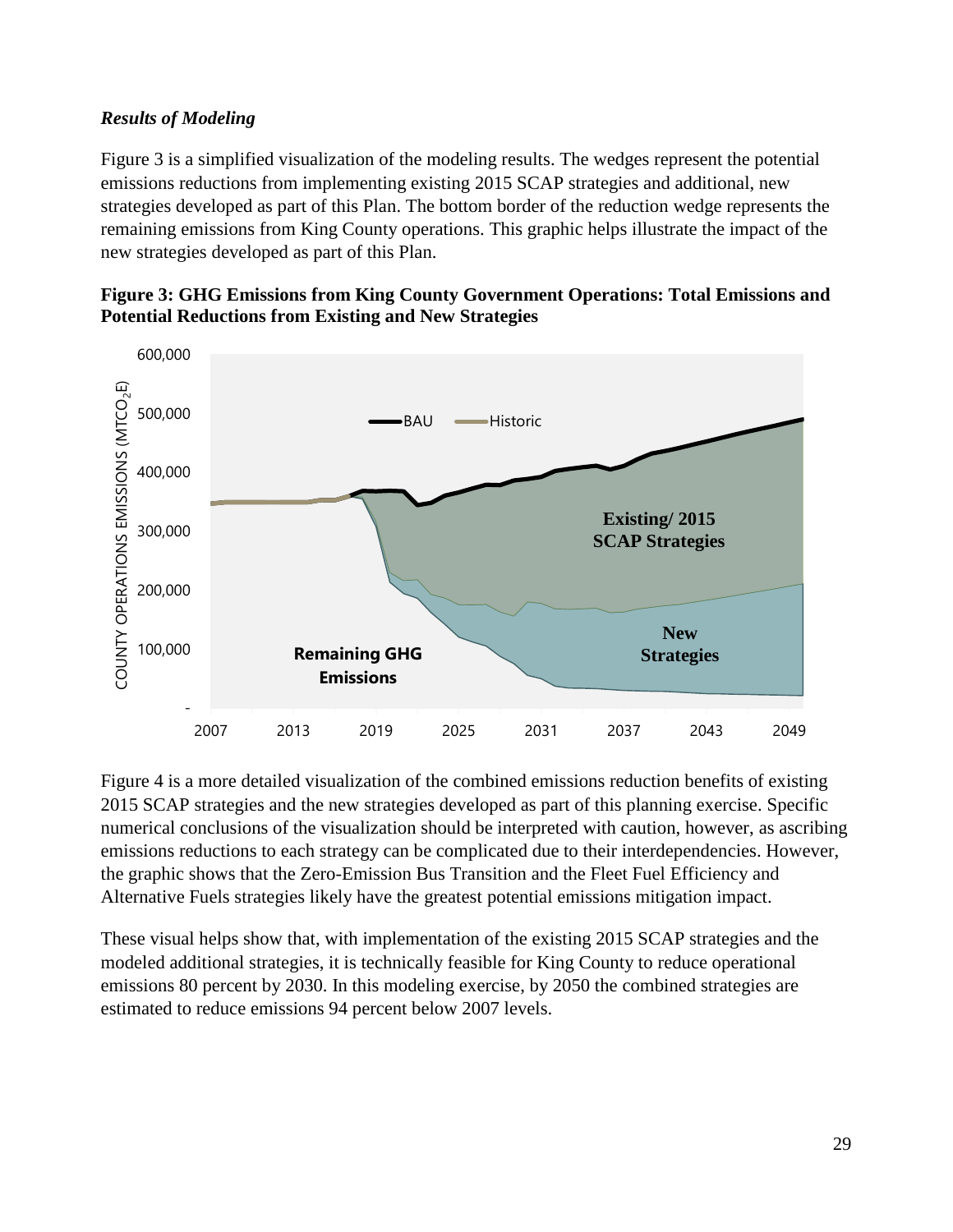#### *Results of Modeling*

Figure 3 is a simplified visualization of the modeling results. The wedges represent the potential emissions reductions from implementing existing 2015 SCAP strategies and additional, new strategies developed as part of this Plan. The bottom border of the reduction wedge represents the remaining emissions from King County operations. This graphic helps illustrate the impact of the new strategies developed as part of this Plan.





Figure 4 is a more detailed visualization of the combined emissions reduction benefits of existing 2015 SCAP strategies and the new strategies developed as part of this planning exercise. Specific numerical conclusions of the visualization should be interpreted with caution, however, as ascribing emissions reductions to each strategy can be complicated due to their interdependencies. However, the graphic shows that the Zero-Emission Bus Transition and the Fleet Fuel Efficiency and Alternative Fuels strategies likely have the greatest potential emissions mitigation impact.

These visual helps show that, with implementation of the existing 2015 SCAP strategies and the modeled additional strategies, it is technically feasible for King County to reduce operational emissions 80 percent by 2030. In this modeling exercise, by 2050 the combined strategies are estimated to reduce emissions 94 percent below 2007 levels.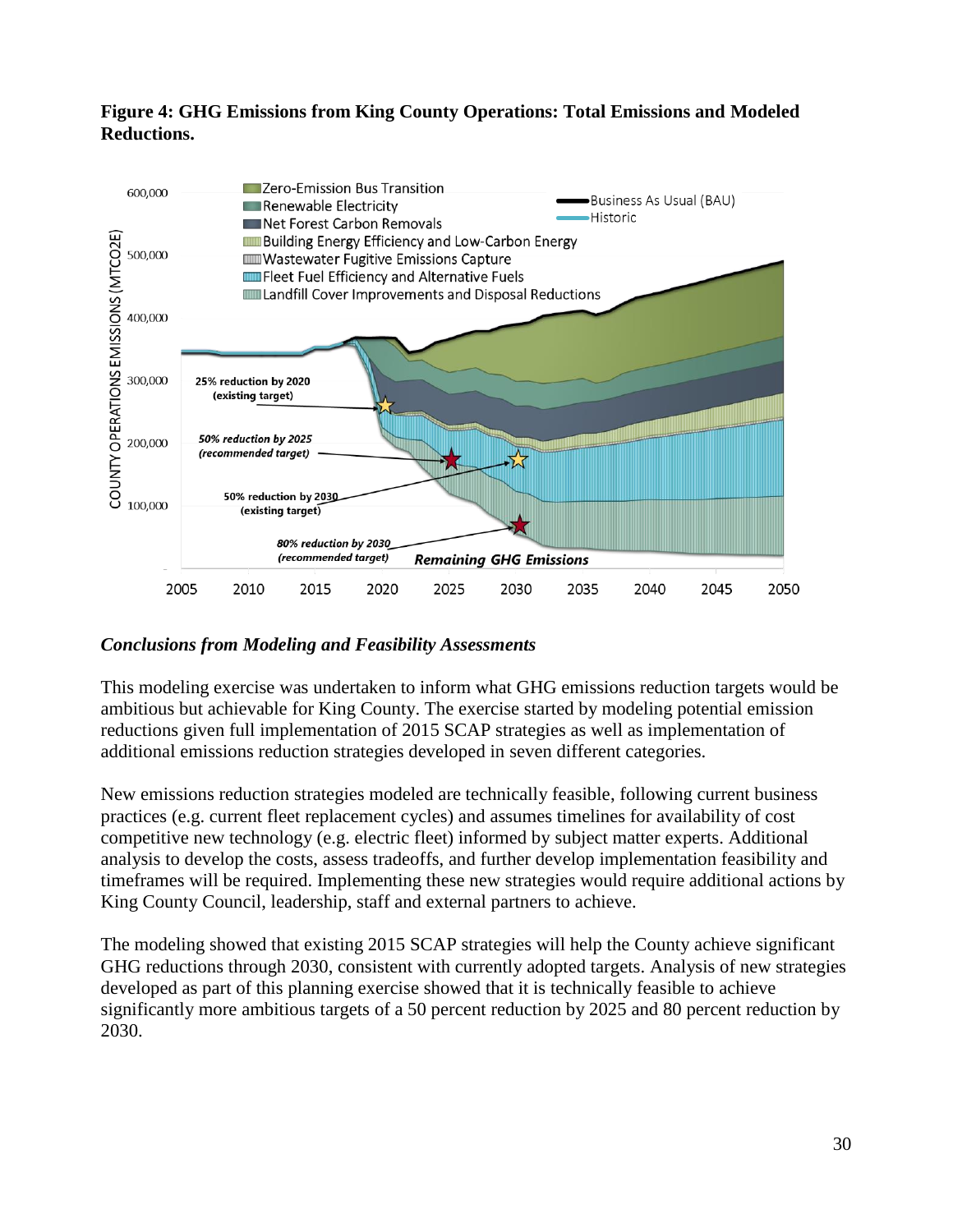#### **Figure 4: GHG Emissions from King County Operations: Total Emissions and Modeled Reductions.**



#### *Conclusions from Modeling and Feasibility Assessments*

This modeling exercise was undertaken to inform what GHG emissions reduction targets would be ambitious but achievable for King County. The exercise started by modeling potential emission reductions given full implementation of 2015 SCAP strategies as well as implementation of additional emissions reduction strategies developed in seven different categories.

New emissions reduction strategies modeled are technically feasible, following current business practices (e.g. current fleet replacement cycles) and assumes timelines for availability of cost competitive new technology (e.g. electric fleet) informed by subject matter experts. Additional analysis to develop the costs, assess tradeoffs, and further develop implementation feasibility and timeframes will be required. Implementing these new strategies would require additional actions by King County Council, leadership, staff and external partners to achieve.

The modeling showed that existing 2015 SCAP strategies will help the County achieve significant GHG reductions through 2030, consistent with currently adopted targets. Analysis of new strategies developed as part of this planning exercise showed that it is technically feasible to achieve significantly more ambitious targets of a 50 percent reduction by 2025 and 80 percent reduction by 2030.